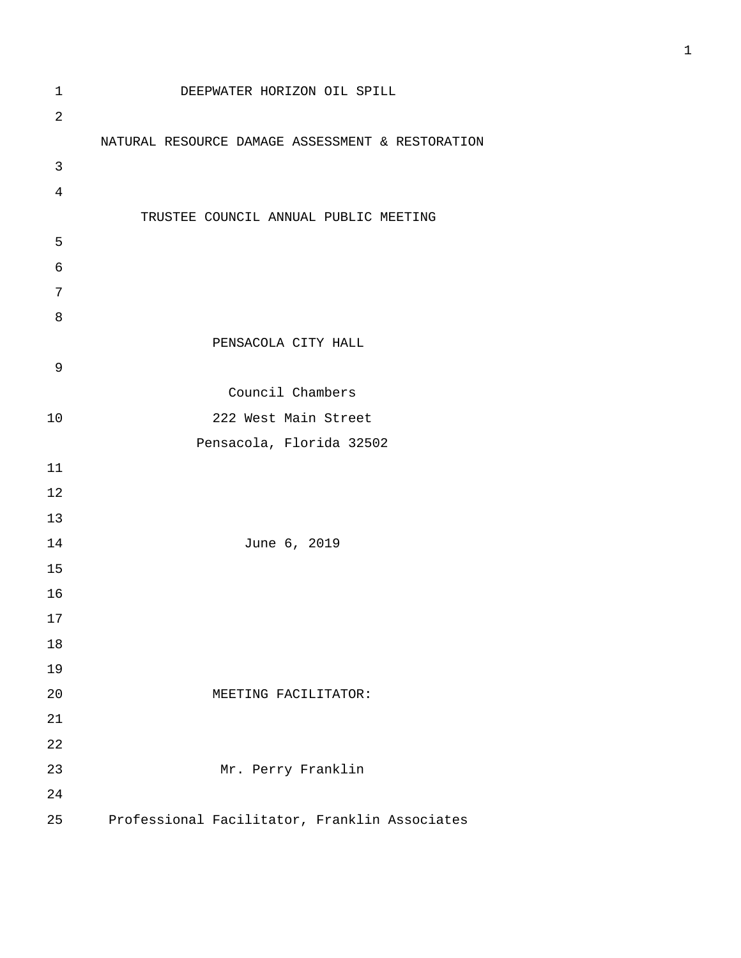1 DEEPWATER HORIZON OIL SPILL NATURAL RESOURCE DAMAGE ASSESSMENT & RESTORATION TRUSTEE COUNCIL ANNUAL PUBLIC MEETING PENSACOLA CITY HALL Council Chambers 10 222 West Main Street Pensacola, Florida 32502 14 June 6, 2019 20 MEETING FACILITATOR: 23 Mr. Perry Franklin 25 Professional Facilitator, Franklin Associates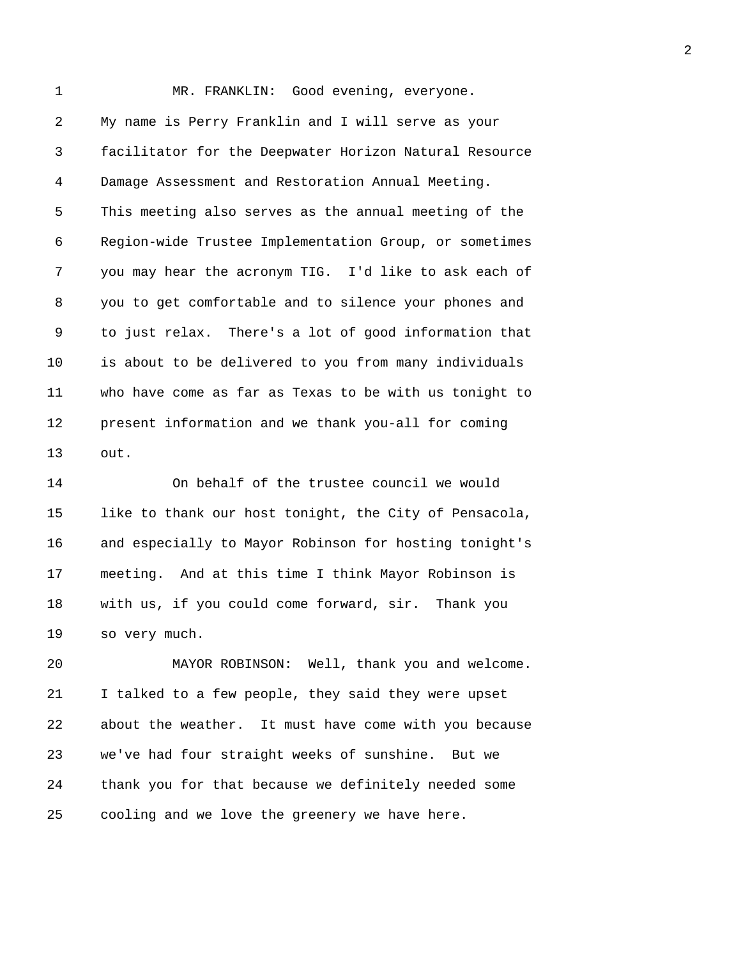1 MR. FRANKLIN: Good evening, everyone. 2 My name is Perry Franklin and I will serve as your 3 facilitator for the Deepwater Horizon Natural Resource 4 Damage Assessment and Restoration Annual Meeting. 5 This meeting also serves as the annual meeting of the 6 Region-wide Trustee Implementation Group, or sometimes 7 you may hear the acronym TIG. I'd like to ask each of 8 you to get comfortable and to silence your phones and 9 to just relax. There's a lot of good information that 10 is about to be delivered to you from many individuals 11 who have come as far as Texas to be with us tonight to 12 present information and we thank you-all for coming 13 out.

14 On behalf of the trustee council we would 15 like to thank our host tonight, the City of Pensacola, 16 and especially to Mayor Robinson for hosting tonight's 17 meeting. And at this time I think Mayor Robinson is 18 with us, if you could come forward, sir. Thank you 19 so very much.

20 MAYOR ROBINSON: Well, thank you and welcome. 21 I talked to a few people, they said they were upset 22 about the weather. It must have come with you because 23 we've had four straight weeks of sunshine. But we 24 thank you for that because we definitely needed some 25 cooling and we love the greenery we have here.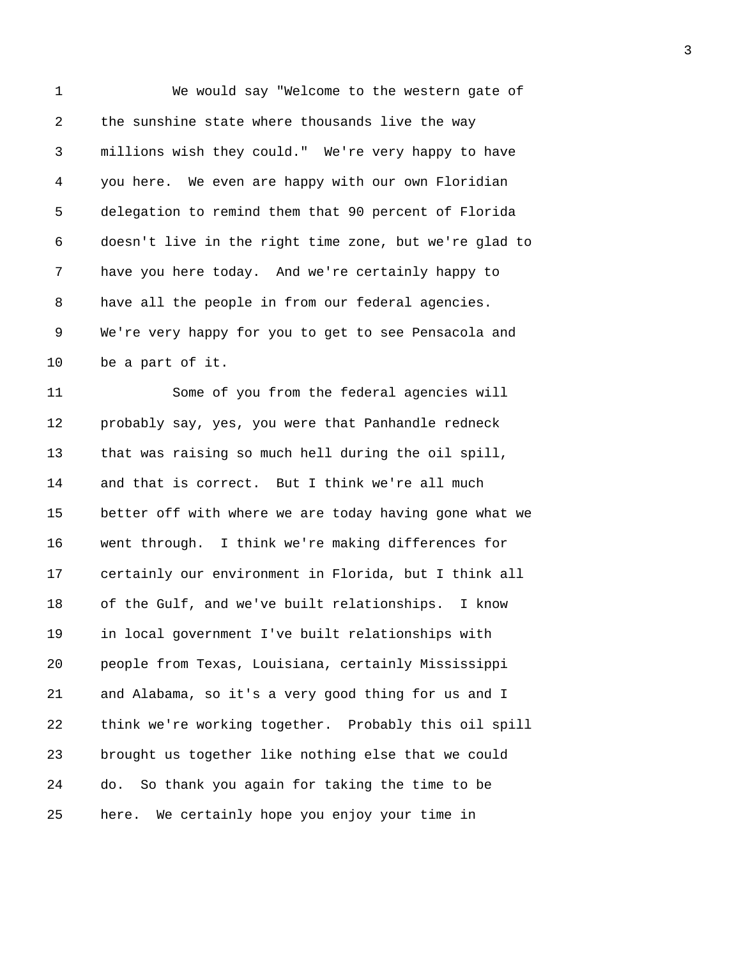1 We would say "Welcome to the western gate of 2 the sunshine state where thousands live the way 3 millions wish they could." We're very happy to have 4 you here. We even are happy with our own Floridian 5 delegation to remind them that 90 percent of Florida 6 doesn't live in the right time zone, but we're glad to 7 have you here today. And we're certainly happy to 8 have all the people in from our federal agencies. 9 We're very happy for you to get to see Pensacola and 10 be a part of it. 11 Some of you from the federal agencies will 12 probably say, yes, you were that Panhandle redneck 13 that was raising so much hell during the oil spill, 14 and that is correct. But I think we're all much 15 better off with where we are today having gone what we 16 went through. I think we're making differences for 17 certainly our environment in Florida, but I think all 18 of the Gulf, and we've built relationships. I know 19 in local government I've built relationships with 20 people from Texas, Louisiana, certainly Mississippi 21 and Alabama, so it's a very good thing for us and I 22 think we're working together. Probably this oil spill 23 brought us together like nothing else that we could 24 do. So thank you again for taking the time to be 25 here. We certainly hope you enjoy your time in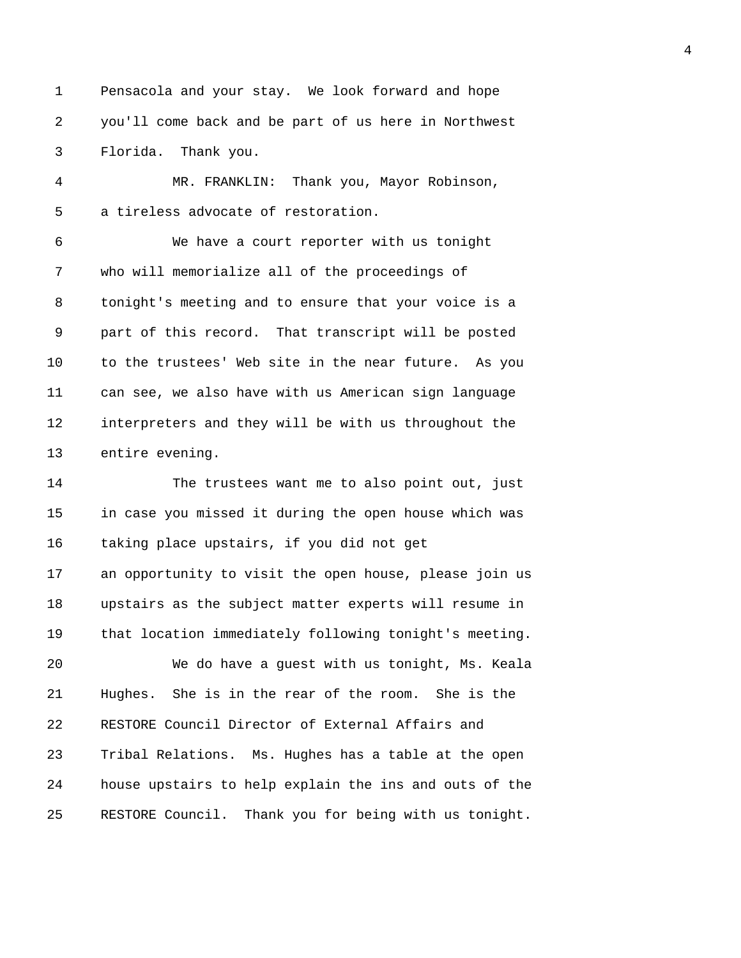1 Pensacola and your stay. We look forward and hope 2 you'll come back and be part of us here in Northwest 3 Florida. Thank you.

4 MR. FRANKLIN: Thank you, Mayor Robinson, 5 a tireless advocate of restoration.

6 We have a court reporter with us tonight 7 who will memorialize all of the proceedings of 8 tonight's meeting and to ensure that your voice is a 9 part of this record. That transcript will be posted 10 to the trustees' Web site in the near future. As you 11 can see, we also have with us American sign language 12 interpreters and they will be with us throughout the 13 entire evening.

14 The trustees want me to also point out, just 15 in case you missed it during the open house which was 16 taking place upstairs, if you did not get 17 an opportunity to visit the open house, please join us 18 upstairs as the subject matter experts will resume in 19 that location immediately following tonight's meeting. 20 We do have a guest with us tonight, Ms. Keala 21 Hughes. She is in the rear of the room. She is the 22 RESTORE Council Director of External Affairs and 23 Tribal Relations. Ms. Hughes has a table at the open 24 house upstairs to help explain the ins and outs of the 25 RESTORE Council. Thank you for being with us tonight.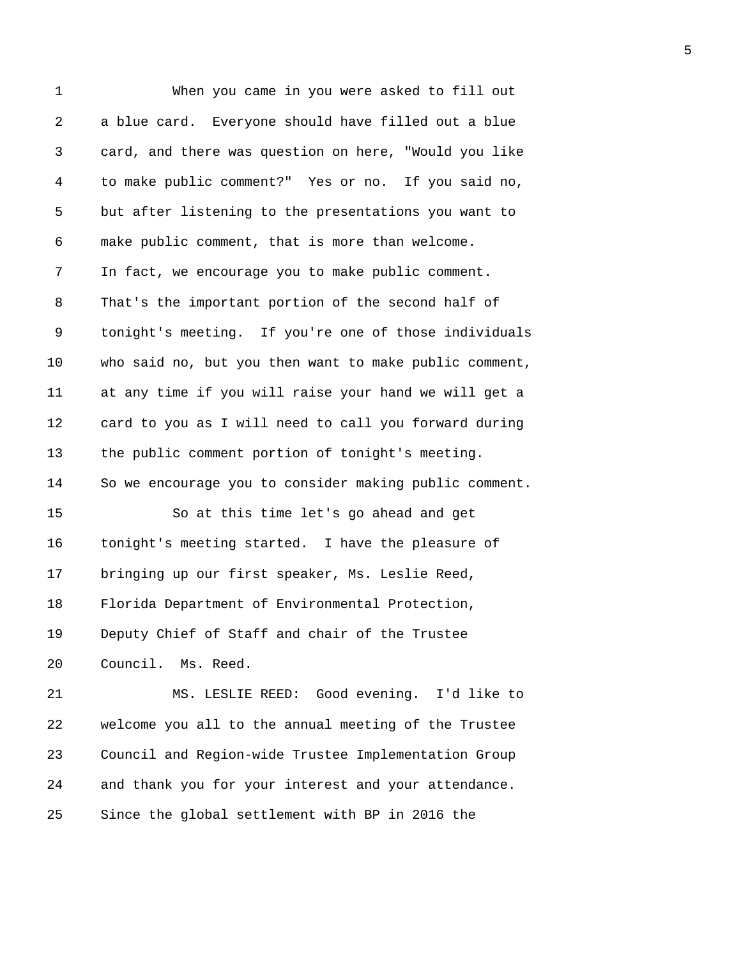1 When you came in you were asked to fill out 2 a blue card. Everyone should have filled out a blue 3 card, and there was question on here, "Would you like 4 to make public comment?" Yes or no. If you said no, 5 but after listening to the presentations you want to 6 make public comment, that is more than welcome. 7 In fact, we encourage you to make public comment. 8 That's the important portion of the second half of 9 tonight's meeting. If you're one of those individuals 10 who said no, but you then want to make public comment, 11 at any time if you will raise your hand we will get a 12 card to you as I will need to call you forward during 13 the public comment portion of tonight's meeting. 14 So we encourage you to consider making public comment. 15 So at this time let's go ahead and get 16 tonight's meeting started. I have the pleasure of 17 bringing up our first speaker, Ms. Leslie Reed, 18 Florida Department of Environmental Protection, 19 Deputy Chief of Staff and chair of the Trustee 20 Council. Ms. Reed. 21 MS. LESLIE REED: Good evening. I'd like to 22 welcome you all to the annual meeting of the Trustee 23 Council and Region-wide Trustee Implementation Group 24 and thank you for your interest and your attendance. 25 Since the global settlement with BP in 2016 the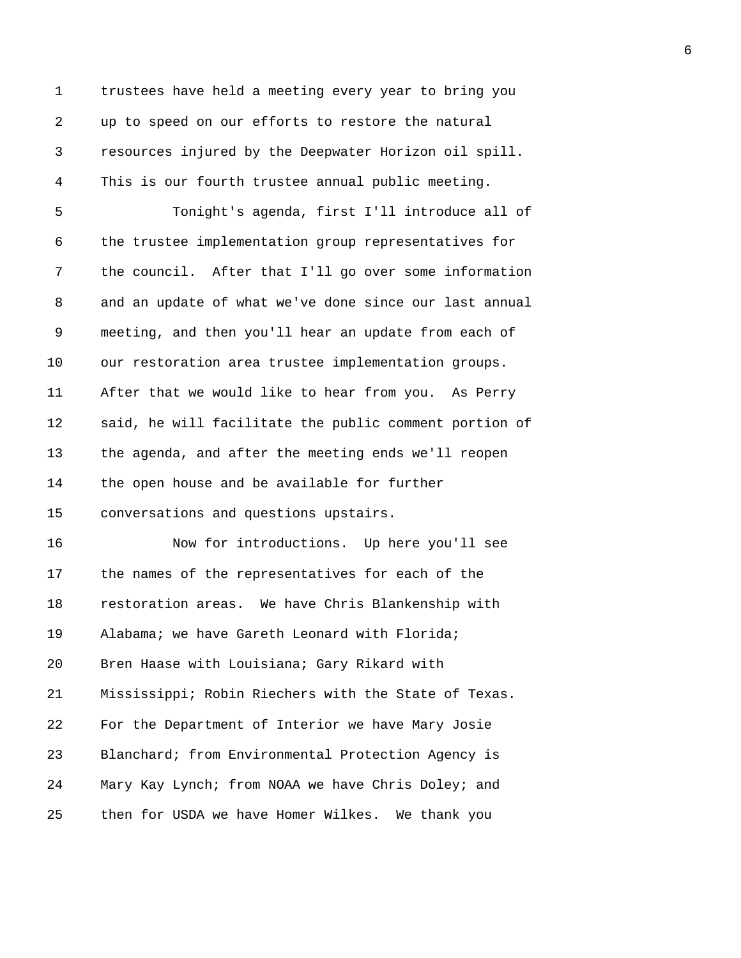1 trustees have held a meeting every year to bring you 2 up to speed on our efforts to restore the natural 3 resources injured by the Deepwater Horizon oil spill. 4 This is our fourth trustee annual public meeting. 5 Tonight's agenda, first I'll introduce all of 6 the trustee implementation group representatives for 7 the council. After that I'll go over some information 8 and an update of what we've done since our last annual 9 meeting, and then you'll hear an update from each of 10 our restoration area trustee implementation groups. 11 After that we would like to hear from you. As Perry 12 said, he will facilitate the public comment portion of 13 the agenda, and after the meeting ends we'll reopen 14 the open house and be available for further 15 conversations and questions upstairs. 16 Now for introductions. Up here you'll see 17 the names of the representatives for each of the 18 restoration areas. We have Chris Blankenship with 19 Alabama; we have Gareth Leonard with Florida; 20 Bren Haase with Louisiana; Gary Rikard with 21 Mississippi; Robin Riechers with the State of Texas. 22 For the Department of Interior we have Mary Josie 23 Blanchard; from Environmental Protection Agency is 24 Mary Kay Lynch; from NOAA we have Chris Doley; and 25 then for USDA we have Homer Wilkes. We thank you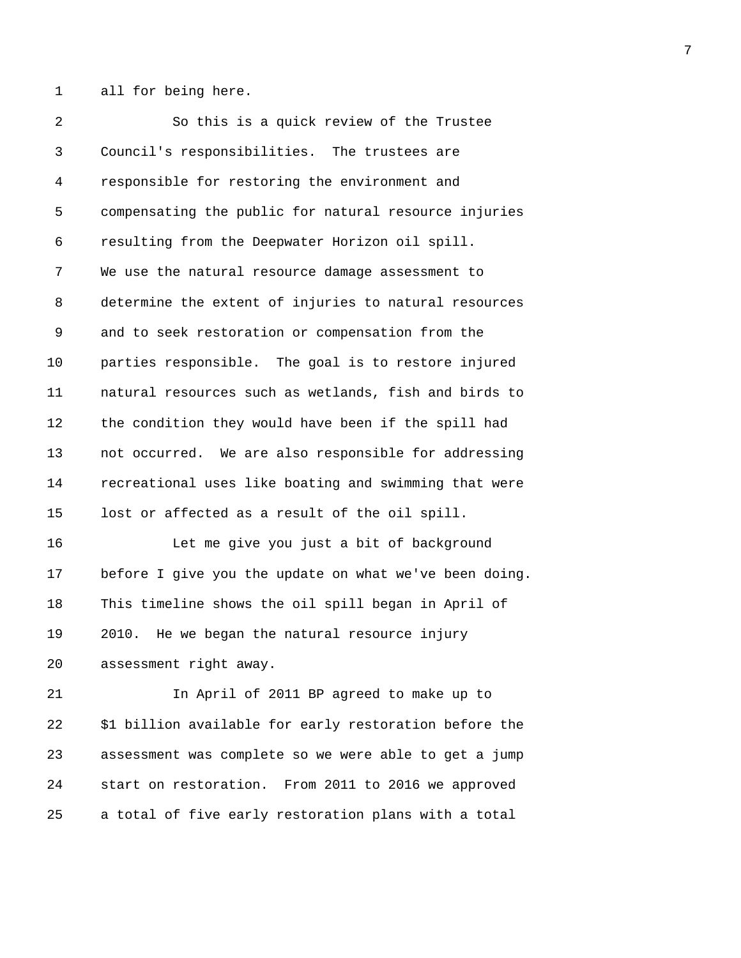1 all for being here.

2 So this is a quick review of the Trustee 3 Council's responsibilities. The trustees are 4 responsible for restoring the environment and 5 compensating the public for natural resource injuries 6 resulting from the Deepwater Horizon oil spill. 7 We use the natural resource damage assessment to 8 determine the extent of injuries to natural resources 9 and to seek restoration or compensation from the 10 parties responsible. The goal is to restore injured 11 natural resources such as wetlands, fish and birds to 12 the condition they would have been if the spill had 13 not occurred. We are also responsible for addressing 14 recreational uses like boating and swimming that were 15 lost or affected as a result of the oil spill. 16 Let me give you just a bit of background 17 before I give you the update on what we've been doing. 18 This timeline shows the oil spill began in April of 19 2010. He we began the natural resource injury 20 assessment right away. 21 In April of 2011 BP agreed to make up to 22 \$1 billion available for early restoration before the 23 assessment was complete so we were able to get a jump

25 a total of five early restoration plans with a total

24 start on restoration. From 2011 to 2016 we approved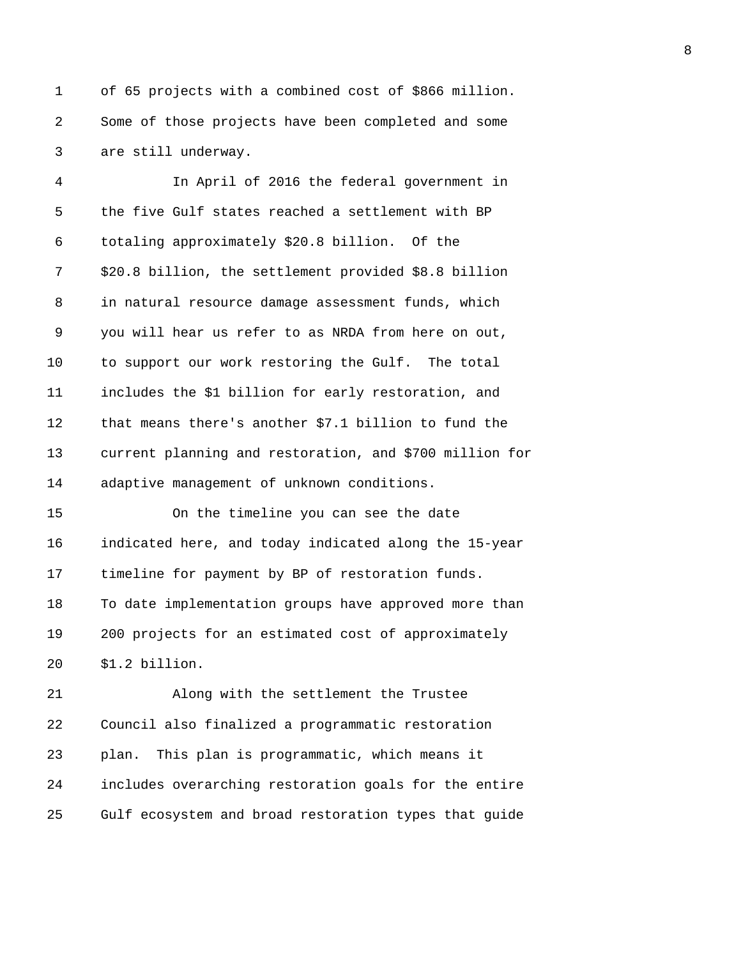1 of 65 projects with a combined cost of \$866 million. 2 Some of those projects have been completed and some 3 are still underway.

4 In April of 2016 the federal government in 5 the five Gulf states reached a settlement with BP 6 totaling approximately \$20.8 billion. Of the 7 \$20.8 billion, the settlement provided \$8.8 billion 8 in natural resource damage assessment funds, which 9 you will hear us refer to as NRDA from here on out, 10 to support our work restoring the Gulf. The total 11 includes the \$1 billion for early restoration, and 12 that means there's another \$7.1 billion to fund the 13 current planning and restoration, and \$700 million for 14 adaptive management of unknown conditions. 15 On the timeline you can see the date 16 indicated here, and today indicated along the 15-year

17 timeline for payment by BP of restoration funds. 18 To date implementation groups have approved more than 19 200 projects for an estimated cost of approximately 20 \$1.2 billion.

21 Along with the settlement the Trustee 22 Council also finalized a programmatic restoration 23 plan. This plan is programmatic, which means it 24 includes overarching restoration goals for the entire 25 Gulf ecosystem and broad restoration types that guide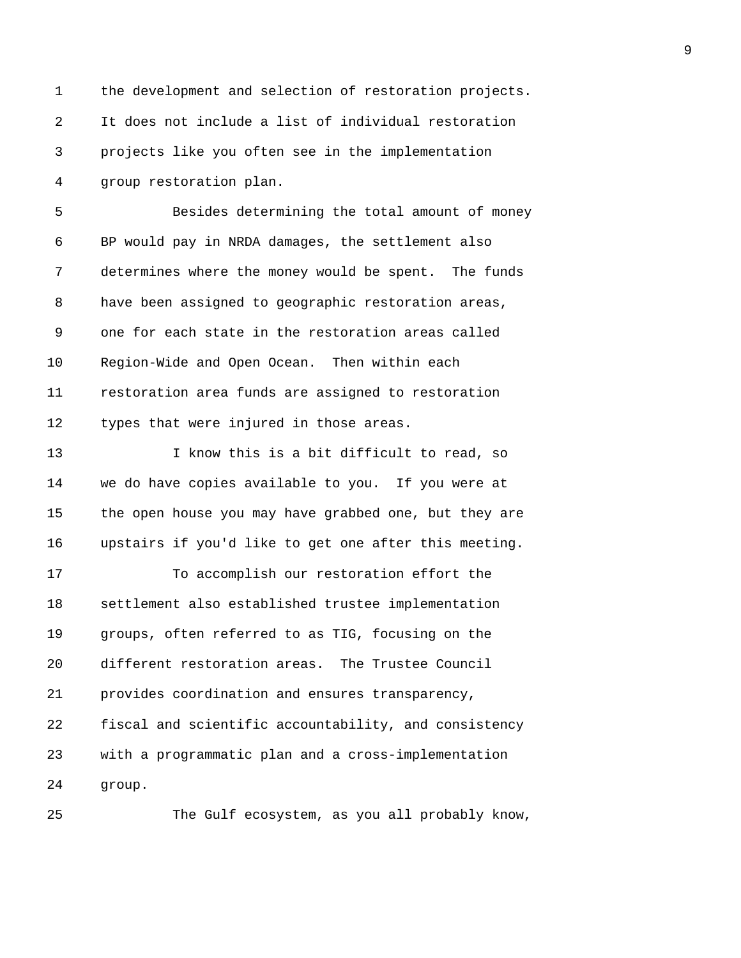| 1  | the development and selection of restoration projects. |
|----|--------------------------------------------------------|
| 2  | It does not include a list of individual restoration   |
| 3  | projects like you often see in the implementation      |
| 4  | group restoration plan.                                |
| 5  | Besides determining the total amount of money          |
| 6  | BP would pay in NRDA damages, the settlement also      |
| 7  | determines where the money would be spent. The funds   |
| 8  | have been assigned to geographic restoration areas,    |
| 9  | one for each state in the restoration areas called     |
| 10 | Region-Wide and Open Ocean. Then within each           |
| 11 | restoration area funds are assigned to restoration     |
| 12 | types that were injured in those areas.                |
| 13 | I know this is a bit difficult to read, so             |
| 14 | we do have copies available to you. If you were at     |
| 15 | the open house you may have grabbed one, but they are  |
| 16 | upstairs if you'd like to get one after this meeting.  |
| 17 | To accomplish our restoration effort the               |
| 18 | settlement also established trustee implementation     |
| 19 | groups, often referred to as TIG, focusing on the      |
| 20 | different restoration areas. The Trustee Council       |
| 21 | provides coordination and ensures transparency,        |
| 22 | fiscal and scientific accountability, and consistency  |
| 23 | with a programmatic plan and a cross-implementation    |
| 24 | group.                                                 |
| 25 | The Gulf ecosystem, as you all probably know,          |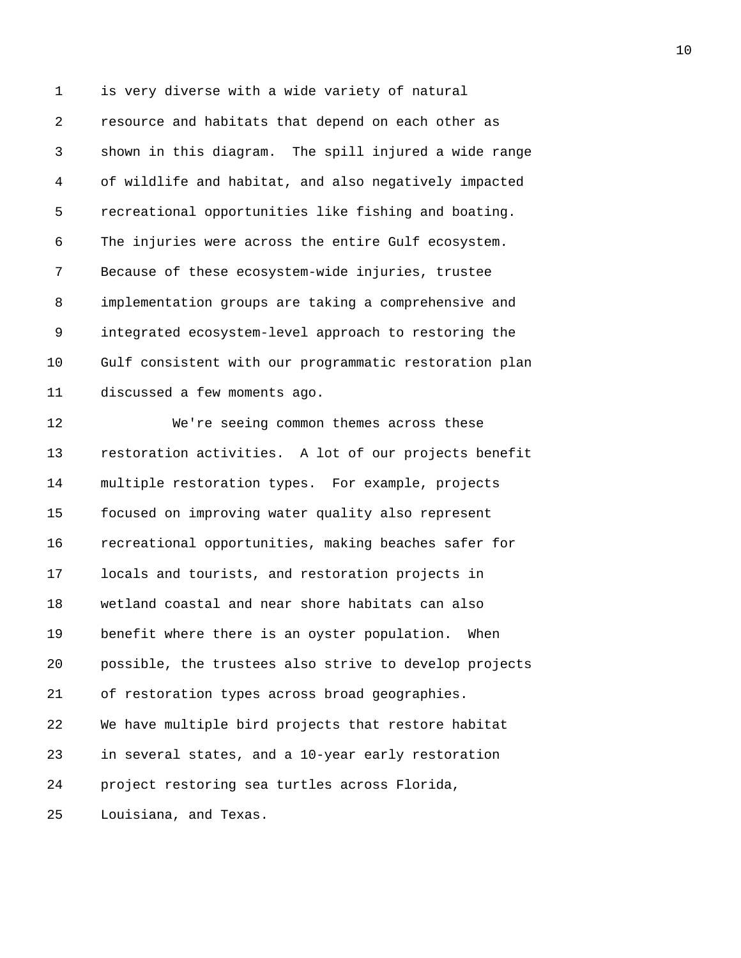1 is very diverse with a wide variety of natural 2 resource and habitats that depend on each other as 3 shown in this diagram. The spill injured a wide range 4 of wildlife and habitat, and also negatively impacted 5 recreational opportunities like fishing and boating. 6 The injuries were across the entire Gulf ecosystem. 7 Because of these ecosystem-wide injuries, trustee 8 implementation groups are taking a comprehensive and 9 integrated ecosystem-level approach to restoring the 10 Gulf consistent with our programmatic restoration plan 11 discussed a few moments ago. 12 We're seeing common themes across these 13 restoration activities. A lot of our projects benefit 14 multiple restoration types. For example, projects 15 focused on improving water quality also represent 16 recreational opportunities, making beaches safer for 17 locals and tourists, and restoration projects in 18 wetland coastal and near shore habitats can also 19 benefit where there is an oyster population. When 20 possible, the trustees also strive to develop projects 21 of restoration types across broad geographies. 22 We have multiple bird projects that restore habitat 23 in several states, and a 10-year early restoration 24 project restoring sea turtles across Florida, 25 Louisiana, and Texas.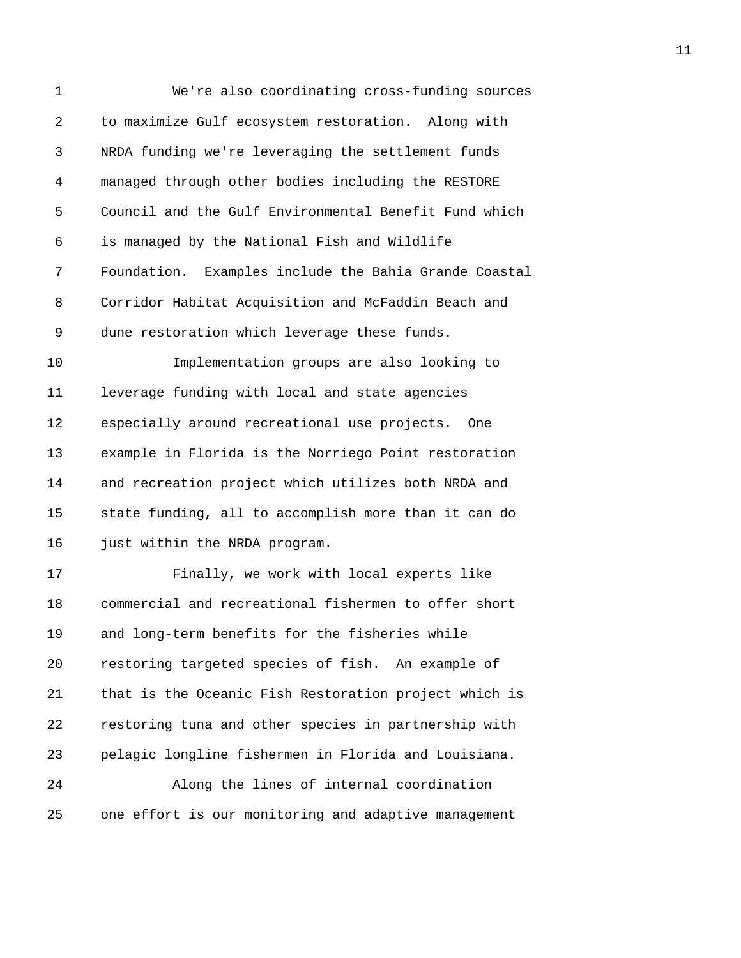| 1  | We're also coordinating cross-funding sources         |
|----|-------------------------------------------------------|
| 2  | to maximize Gulf ecosystem restoration. Along with    |
| 3  | NRDA funding we're leveraging the settlement funds    |
| 4  | managed through other bodies including the RESTORE    |
| 5  | Council and the Gulf Environmental Benefit Fund which |
| 6  | is managed by the National Fish and Wildlife          |
| 7  | Foundation. Examples include the Bahia Grande Coastal |
| 8  | Corridor Habitat Acquisition and McFaddin Beach and   |
| 9  | dune restoration which leverage these funds.          |
| 10 | Implementation groups are also looking to             |
| 11 | leverage funding with local and state agencies        |
| 12 | especially around recreational use projects.<br>One   |
| 13 | example in Florida is the Norriego Point restoration  |
| 14 | and recreation project which utilizes both NRDA and   |
| 15 | state funding, all to accomplish more than it can do  |
| 16 | just within the NRDA program.                         |
| 17 | Finally, we work with local experts like              |
| 18 | commercial and recreational fishermen to offer short  |
| 19 | and long-term benefits for the fisheries while        |
| 20 | restoring targeted species of fish. An example of     |
| 21 | that is the Oceanic Fish Restoration project which is |
| 22 | restoring tuna and other species in partnership with  |
| 23 | pelagic longline fishermen in Florida and Louisiana.  |
| 24 | Along the lines of internal coordination              |
| 25 | one effort is our monitoring and adaptive management  |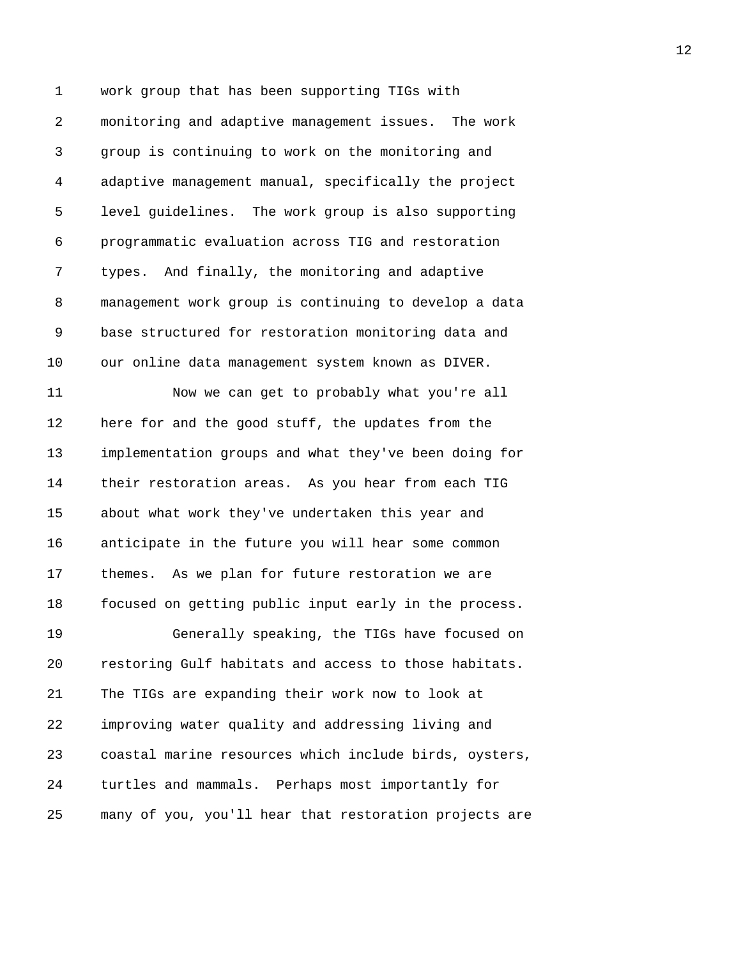1 work group that has been supporting TIGs with 2 monitoring and adaptive management issues. The work 3 group is continuing to work on the monitoring and 4 adaptive management manual, specifically the project 5 level guidelines. The work group is also supporting 6 programmatic evaluation across TIG and restoration 7 types. And finally, the monitoring and adaptive 8 management work group is continuing to develop a data 9 base structured for restoration monitoring data and 10 our online data management system known as DIVER.

11 Now we can get to probably what you're all 12 here for and the good stuff, the updates from the 13 implementation groups and what they've been doing for 14 their restoration areas. As you hear from each TIG 15 about what work they've undertaken this year and 16 anticipate in the future you will hear some common 17 themes. As we plan for future restoration we are 18 focused on getting public input early in the process.

19 Generally speaking, the TIGs have focused on 20 restoring Gulf habitats and access to those habitats. 21 The TIGs are expanding their work now to look at 22 improving water quality and addressing living and 23 coastal marine resources which include birds, oysters, 24 turtles and mammals. Perhaps most importantly for 25 many of you, you'll hear that restoration projects are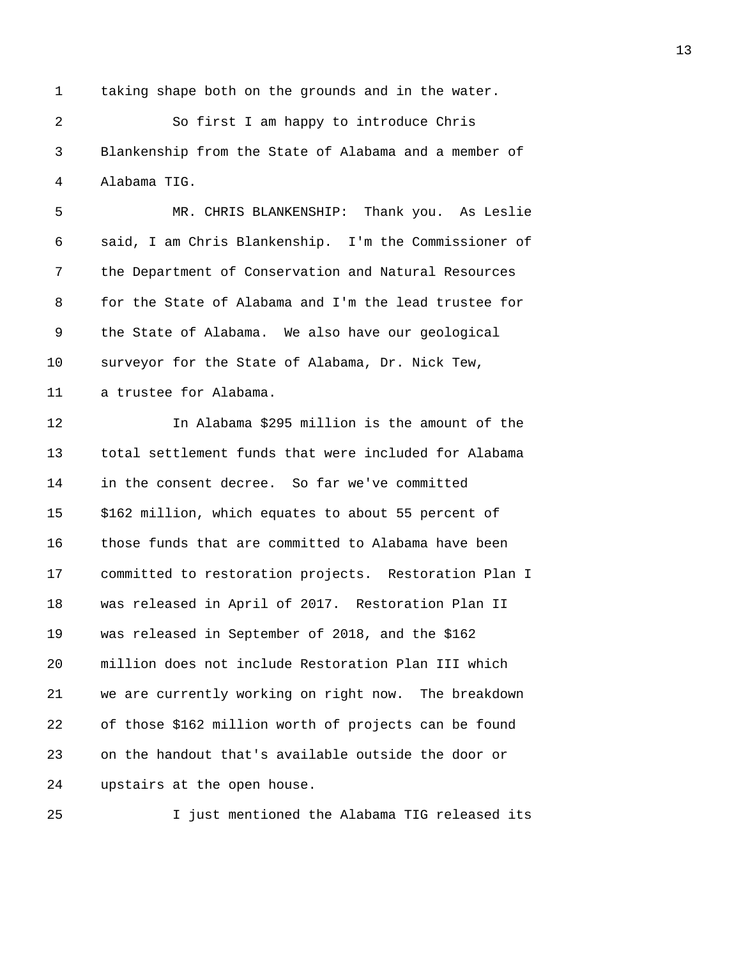1 taking shape both on the grounds and in the water.

2 So first I am happy to introduce Chris 3 Blankenship from the State of Alabama and a member of 4 Alabama TIG.

5 MR. CHRIS BLANKENSHIP: Thank you. As Leslie 6 said, I am Chris Blankenship. I'm the Commissioner of 7 the Department of Conservation and Natural Resources 8 for the State of Alabama and I'm the lead trustee for 9 the State of Alabama. We also have our geological 10 surveyor for the State of Alabama, Dr. Nick Tew,

11 a trustee for Alabama.

12 In Alabama \$295 million is the amount of the 13 total settlement funds that were included for Alabama 14 in the consent decree. So far we've committed 15 \$162 million, which equates to about 55 percent of 16 those funds that are committed to Alabama have been 17 committed to restoration projects. Restoration Plan I 18 was released in April of 2017. Restoration Plan II 19 was released in September of 2018, and the \$162 20 million does not include Restoration Plan III which 21 we are currently working on right now. The breakdown 22 of those \$162 million worth of projects can be found 23 on the handout that's available outside the door or 24 upstairs at the open house.

25 I just mentioned the Alabama TIG released its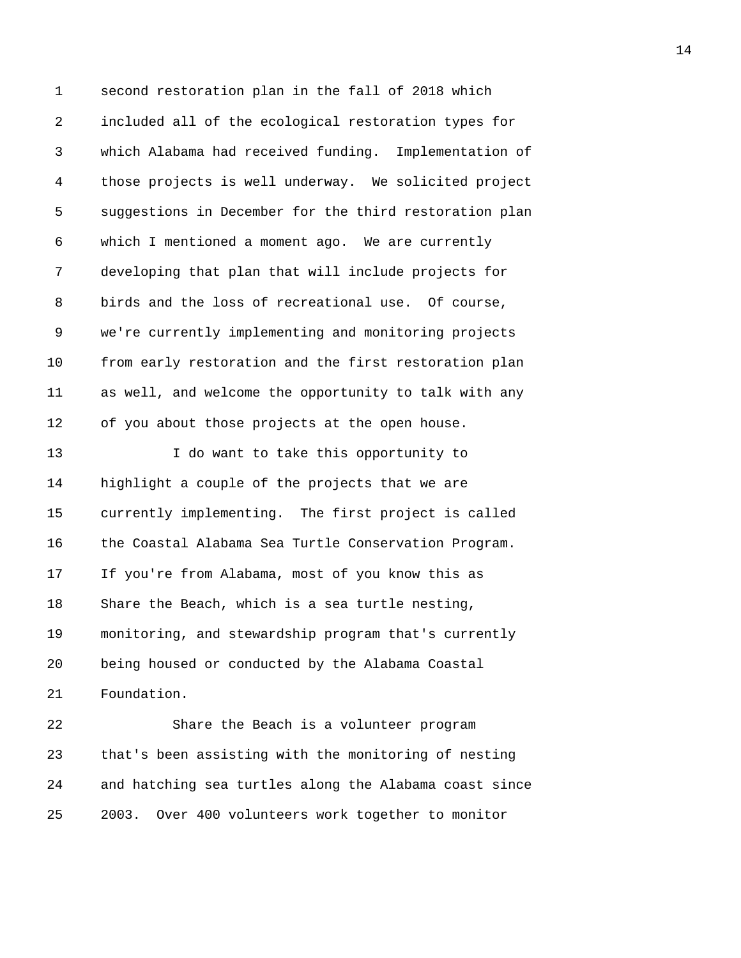1 second restoration plan in the fall of 2018 which 2 included all of the ecological restoration types for 3 which Alabama had received funding. Implementation of 4 those projects is well underway. We solicited project 5 suggestions in December for the third restoration plan 6 which I mentioned a moment ago. We are currently 7 developing that plan that will include projects for 8 birds and the loss of recreational use. Of course, 9 we're currently implementing and monitoring projects 10 from early restoration and the first restoration plan 11 as well, and welcome the opportunity to talk with any 12 of you about those projects at the open house. 13 I do want to take this opportunity to 14 highlight a couple of the projects that we are 15 currently implementing. The first project is called 16 the Coastal Alabama Sea Turtle Conservation Program. 17 If you're from Alabama, most of you know this as 18 Share the Beach, which is a sea turtle nesting, 19 monitoring, and stewardship program that's currently 20 being housed or conducted by the Alabama Coastal 21 Foundation. 22 Share the Beach is a volunteer program 23 that's been assisting with the monitoring of nesting

25 2003. Over 400 volunteers work together to monitor

24 and hatching sea turtles along the Alabama coast since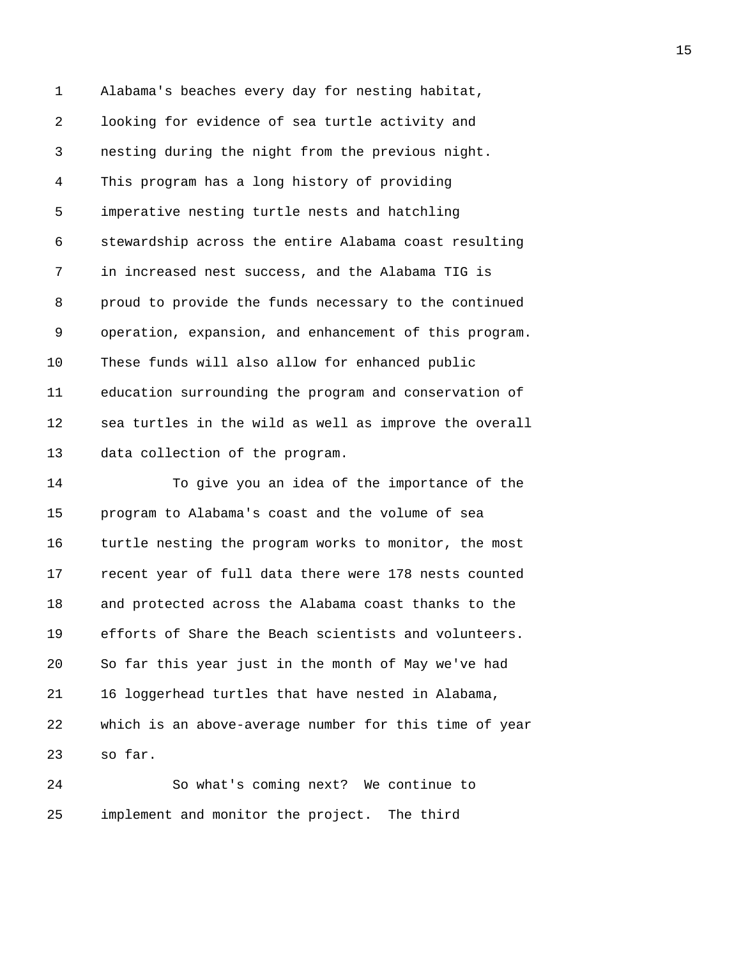1 Alabama's beaches every day for nesting habitat, 2 looking for evidence of sea turtle activity and 3 nesting during the night from the previous night. 4 This program has a long history of providing 5 imperative nesting turtle nests and hatchling 6 stewardship across the entire Alabama coast resulting 7 in increased nest success, and the Alabama TIG is 8 proud to provide the funds necessary to the continued 9 operation, expansion, and enhancement of this program. 10 These funds will also allow for enhanced public 11 education surrounding the program and conservation of 12 sea turtles in the wild as well as improve the overall 13 data collection of the program.

14 To give you an idea of the importance of the 15 program to Alabama's coast and the volume of sea 16 turtle nesting the program works to monitor, the most 17 recent year of full data there were 178 nests counted 18 and protected across the Alabama coast thanks to the 19 efforts of Share the Beach scientists and volunteers. 20 So far this year just in the month of May we've had 21 16 loggerhead turtles that have nested in Alabama, 22 which is an above-average number for this time of year 23 so far.

24 So what's coming next? We continue to 25 implement and monitor the project. The third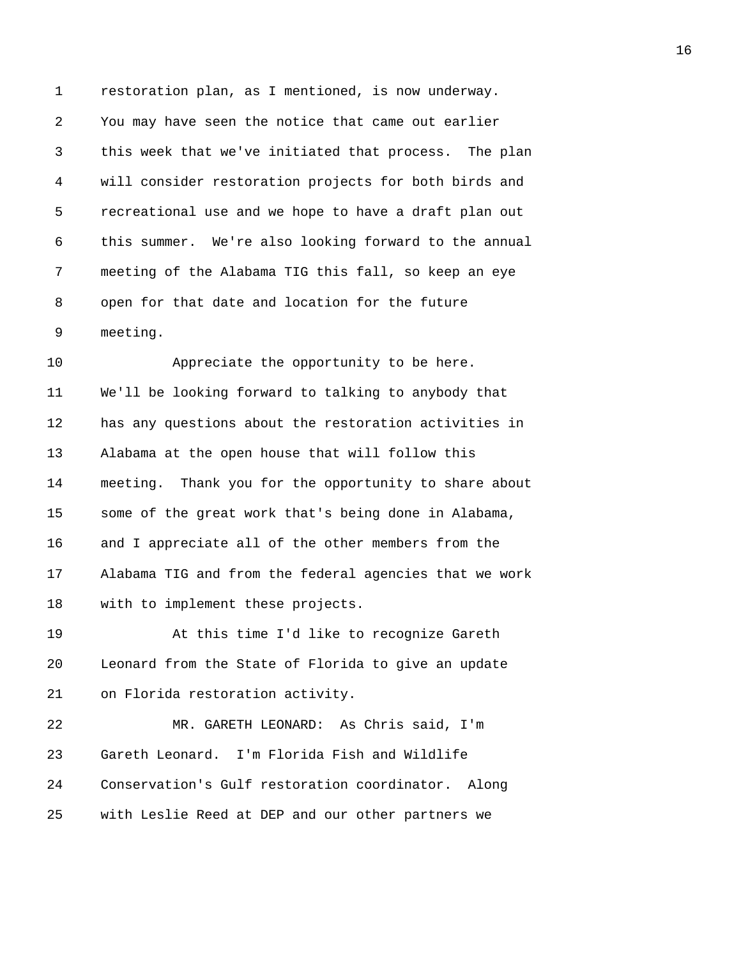1 restoration plan, as I mentioned, is now underway. 2 You may have seen the notice that came out earlier 3 this week that we've initiated that process. The plan 4 will consider restoration projects for both birds and 5 recreational use and we hope to have a draft plan out 6 this summer. We're also looking forward to the annual 7 meeting of the Alabama TIG this fall, so keep an eye 8 open for that date and location for the future 9 meeting.

10 Appreciate the opportunity to be here. 11 We'll be looking forward to talking to anybody that 12 has any questions about the restoration activities in 13 Alabama at the open house that will follow this 14 meeting. Thank you for the opportunity to share about 15 some of the great work that's being done in Alabama, 16 and I appreciate all of the other members from the 17 Alabama TIG and from the federal agencies that we work 18 with to implement these projects.

19 At this time I'd like to recognize Gareth 20 Leonard from the State of Florida to give an update 21 on Florida restoration activity.

22 MR. GARETH LEONARD: As Chris said, I'm 23 Gareth Leonard. I'm Florida Fish and Wildlife 24 Conservation's Gulf restoration coordinator. Along 25 with Leslie Reed at DEP and our other partners we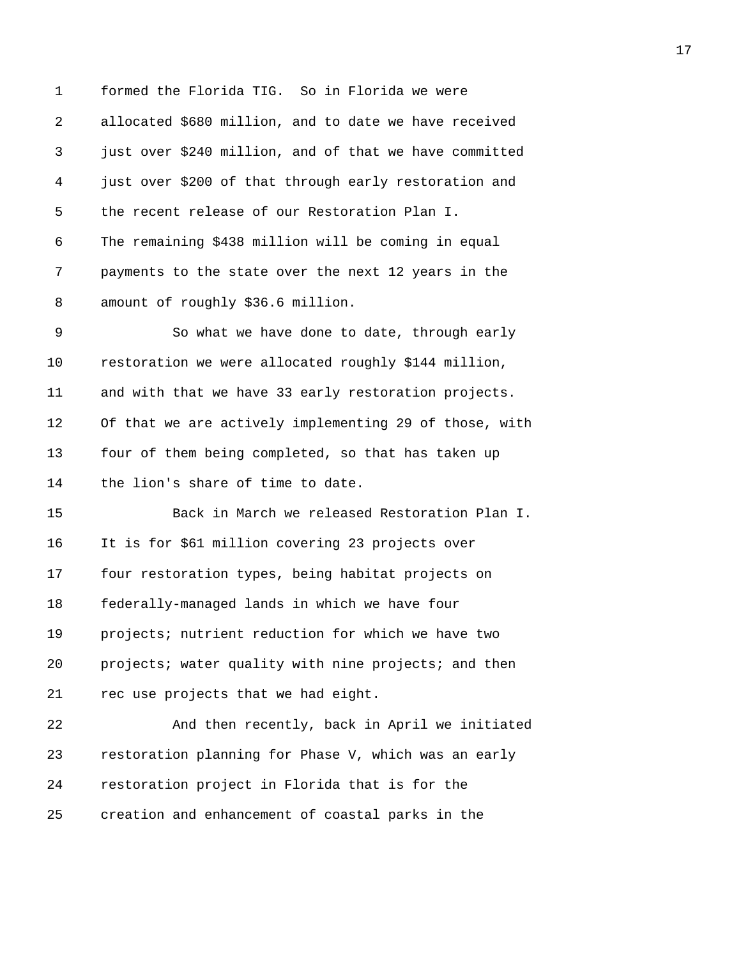1 formed the Florida TIG. So in Florida we were 2 allocated \$680 million, and to date we have received 3 just over \$240 million, and of that we have committed 4 just over \$200 of that through early restoration and 5 the recent release of our Restoration Plan I. 6 The remaining \$438 million will be coming in equal 7 payments to the state over the next 12 years in the 8 amount of roughly \$36.6 million. 9 So what we have done to date, through early 10 restoration we were allocated roughly \$144 million, 11 and with that we have 33 early restoration projects. 12 Of that we are actively implementing 29 of those, with 13 four of them being completed, so that has taken up 14 the lion's share of time to date. 15 Back in March we released Restoration Plan I. 16 It is for \$61 million covering 23 projects over 17 four restoration types, being habitat projects on 18 federally-managed lands in which we have four 19 projects; nutrient reduction for which we have two 20 projects; water quality with nine projects; and then 21 rec use projects that we had eight. 22 And then recently, back in April we initiated 23 restoration planning for Phase V, which was an early 24 restoration project in Florida that is for the 25 creation and enhancement of coastal parks in the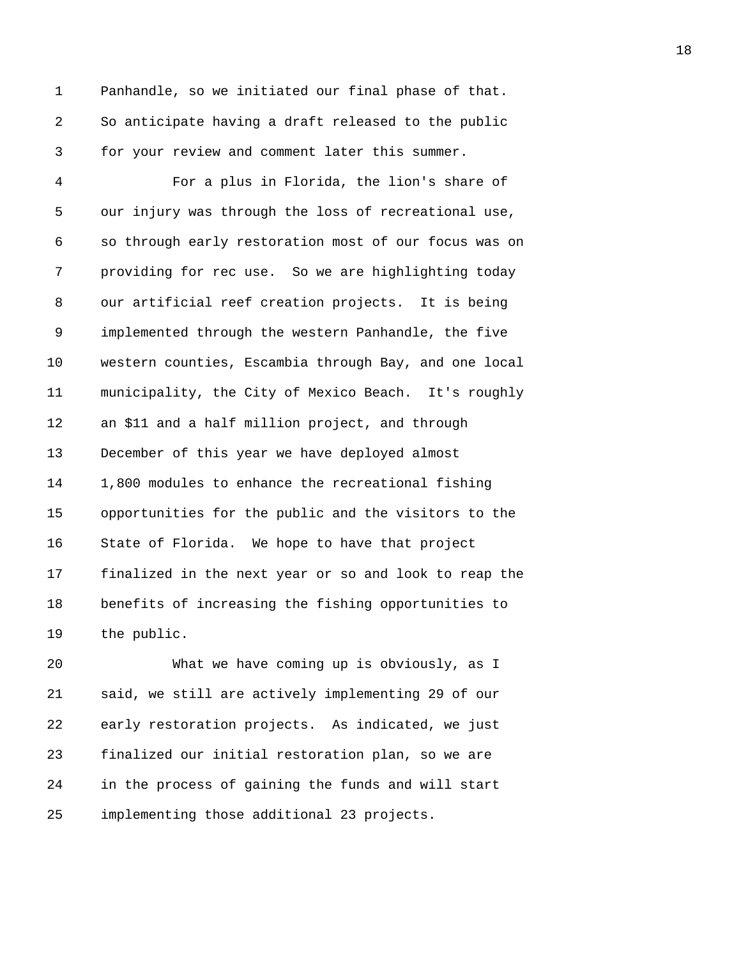1 Panhandle, so we initiated our final phase of that. 2 So anticipate having a draft released to the public 3 for your review and comment later this summer.

4 For a plus in Florida, the lion's share of 5 our injury was through the loss of recreational use, 6 so through early restoration most of our focus was on 7 providing for rec use. So we are highlighting today 8 our artificial reef creation projects. It is being 9 implemented through the western Panhandle, the five 10 western counties, Escambia through Bay, and one local 11 municipality, the City of Mexico Beach. It's roughly 12 an \$11 and a half million project, and through 13 December of this year we have deployed almost 14 1,800 modules to enhance the recreational fishing 15 opportunities for the public and the visitors to the 16 State of Florida. We hope to have that project 17 finalized in the next year or so and look to reap the 18 benefits of increasing the fishing opportunities to 19 the public.

20 What we have coming up is obviously, as I 21 said, we still are actively implementing 29 of our 22 early restoration projects. As indicated, we just 23 finalized our initial restoration plan, so we are 24 in the process of gaining the funds and will start 25 implementing those additional 23 projects.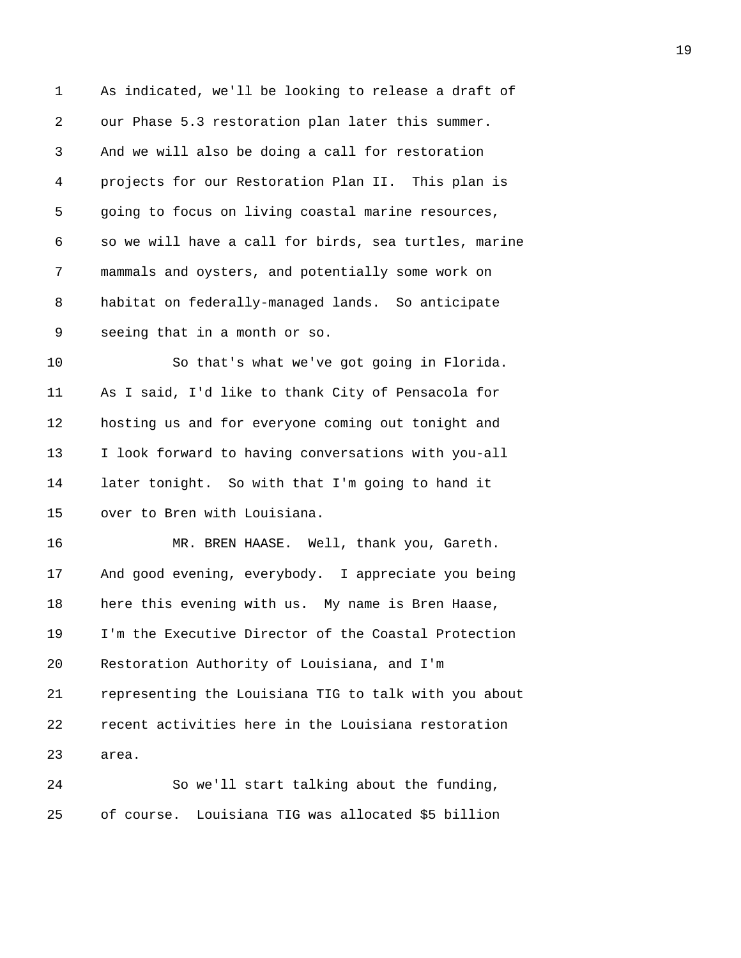1 As indicated, we'll be looking to release a draft of 2 our Phase 5.3 restoration plan later this summer. 3 And we will also be doing a call for restoration 4 projects for our Restoration Plan II. This plan is 5 going to focus on living coastal marine resources, 6 so we will have a call for birds, sea turtles, marine 7 mammals and oysters, and potentially some work on 8 habitat on federally-managed lands. So anticipate 9 seeing that in a month or so. 10 So that's what we've got going in Florida. 11 As I said, I'd like to thank City of Pensacola for 12 hosting us and for everyone coming out tonight and 13 I look forward to having conversations with you-all 14 later tonight. So with that I'm going to hand it 15 over to Bren with Louisiana. 16 MR. BREN HAASE. Well, thank you, Gareth. 17 And good evening, everybody. I appreciate you being 18 here this evening with us. My name is Bren Haase, 19 I'm the Executive Director of the Coastal Protection 20 Restoration Authority of Louisiana, and I'm 21 representing the Louisiana TIG to talk with you about 22 recent activities here in the Louisiana restoration 23 area. 24 So we'll start talking about the funding,

25 of course. Louisiana TIG was allocated \$5 billion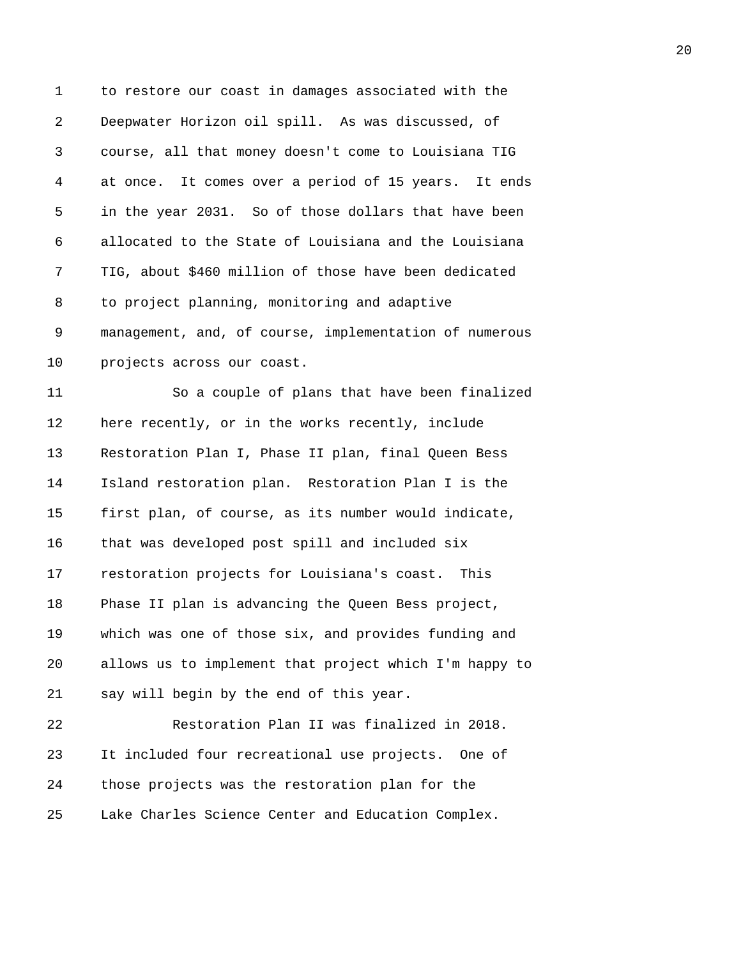1 to restore our coast in damages associated with the 2 Deepwater Horizon oil spill. As was discussed, of 3 course, all that money doesn't come to Louisiana TIG 4 at once. It comes over a period of 15 years. It ends 5 in the year 2031. So of those dollars that have been 6 allocated to the State of Louisiana and the Louisiana 7 TIG, about \$460 million of those have been dedicated 8 to project planning, monitoring and adaptive 9 management, and, of course, implementation of numerous 10 projects across our coast. 11 So a couple of plans that have been finalized 12 here recently, or in the works recently, include 13 Restoration Plan I, Phase II plan, final Queen Bess 14 Island restoration plan. Restoration Plan I is the 15 first plan, of course, as its number would indicate, 16 that was developed post spill and included six 17 restoration projects for Louisiana's coast. This 18 Phase II plan is advancing the Queen Bess project, 19 which was one of those six, and provides funding and 20 allows us to implement that project which I'm happy to 21 say will begin by the end of this year. 22 Restoration Plan II was finalized in 2018. 23 It included four recreational use projects. One of 24 those projects was the restoration plan for the 25 Lake Charles Science Center and Education Complex.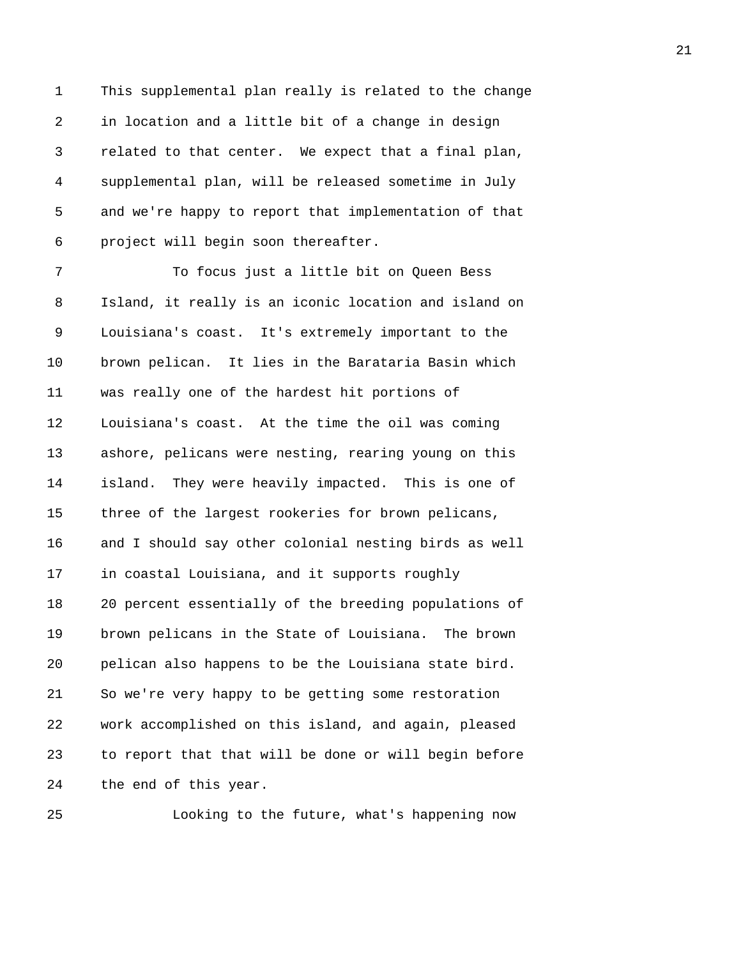1 This supplemental plan really is related to the change 2 in location and a little bit of a change in design 3 related to that center. We expect that a final plan, 4 supplemental plan, will be released sometime in July 5 and we're happy to report that implementation of that 6 project will begin soon thereafter.

7 To focus just a little bit on Queen Bess 8 Island, it really is an iconic location and island on 9 Louisiana's coast. It's extremely important to the 10 brown pelican. It lies in the Barataria Basin which 11 was really one of the hardest hit portions of 12 Louisiana's coast. At the time the oil was coming 13 ashore, pelicans were nesting, rearing young on this 14 island. They were heavily impacted. This is one of 15 three of the largest rookeries for brown pelicans, 16 and I should say other colonial nesting birds as well 17 in coastal Louisiana, and it supports roughly 18 20 percent essentially of the breeding populations of 19 brown pelicans in the State of Louisiana. The brown 20 pelican also happens to be the Louisiana state bird. 21 So we're very happy to be getting some restoration 22 work accomplished on this island, and again, pleased 23 to report that that will be done or will begin before 24 the end of this year.

25 Looking to the future, what's happening now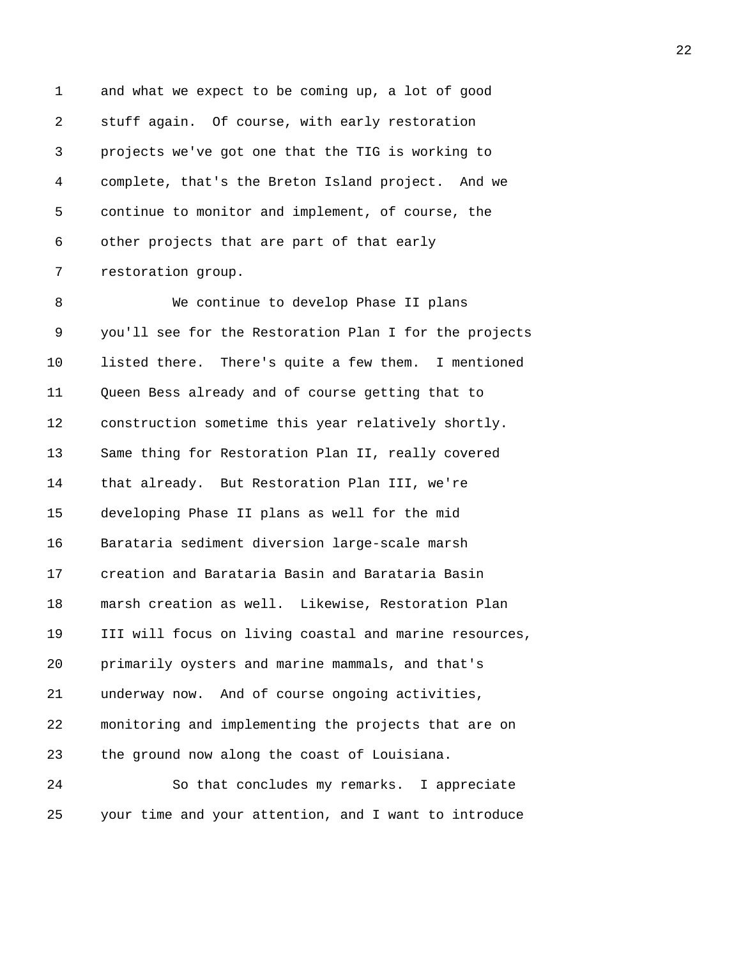1 and what we expect to be coming up, a lot of good 2 stuff again. Of course, with early restoration 3 projects we've got one that the TIG is working to 4 complete, that's the Breton Island project. And we 5 continue to monitor and implement, of course, the 6 other projects that are part of that early 7 restoration group.

8 We continue to develop Phase II plans 9 you'll see for the Restoration Plan I for the projects 10 listed there. There's quite a few them. I mentioned 11 Queen Bess already and of course getting that to 12 construction sometime this year relatively shortly. 13 Same thing for Restoration Plan II, really covered 14 that already. But Restoration Plan III, we're 15 developing Phase II plans as well for the mid 16 Barataria sediment diversion large-scale marsh 17 creation and Barataria Basin and Barataria Basin 18 marsh creation as well. Likewise, Restoration Plan 19 III will focus on living coastal and marine resources, 20 primarily oysters and marine mammals, and that's 21 underway now. And of course ongoing activities, 22 monitoring and implementing the projects that are on 23 the ground now along the coast of Louisiana.

24 So that concludes my remarks. I appreciate 25 your time and your attention, and I want to introduce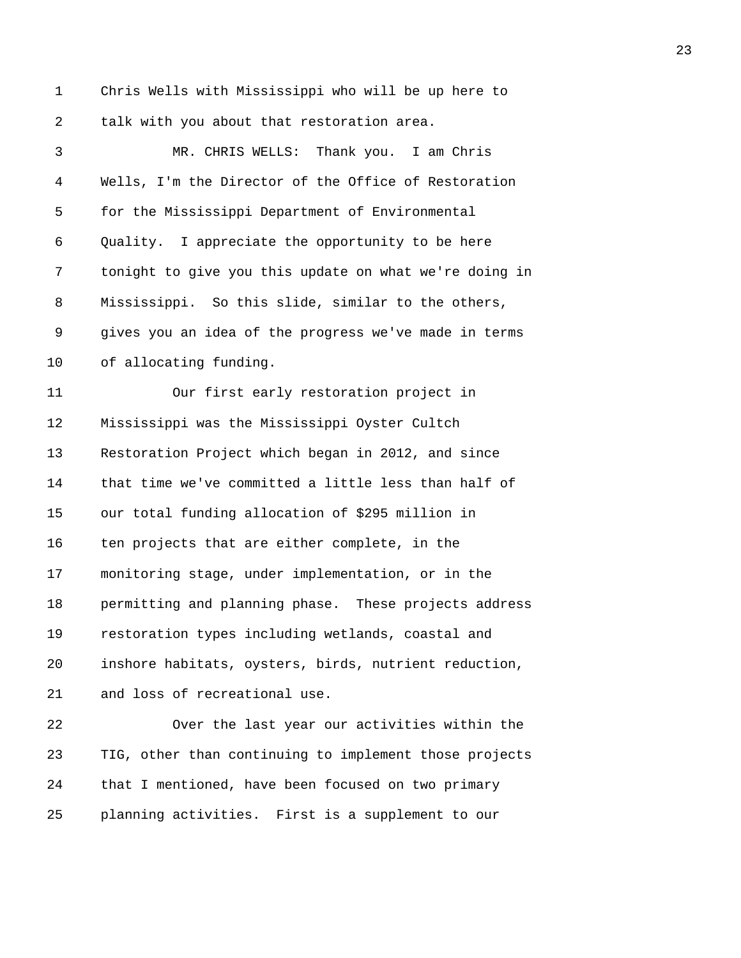1 Chris Wells with Mississippi who will be up here to 2 talk with you about that restoration area.

3 MR. CHRIS WELLS: Thank you. I am Chris 4 Wells, I'm the Director of the Office of Restoration 5 for the Mississippi Department of Environmental 6 Quality. I appreciate the opportunity to be here 7 tonight to give you this update on what we're doing in 8 Mississippi. So this slide, similar to the others, 9 gives you an idea of the progress we've made in terms 10 of allocating funding. 11 Our first early restoration project in 12 Mississippi was the Mississippi Oyster Cultch 13 Restoration Project which began in 2012, and since 14 that time we've committed a little less than half of 15 our total funding allocation of \$295 million in 16 ten projects that are either complete, in the 17 monitoring stage, under implementation, or in the 18 permitting and planning phase. These projects address 19 restoration types including wetlands, coastal and 20 inshore habitats, oysters, birds, nutrient reduction, 21 and loss of recreational use. 22 Over the last year our activities within the 23 TIG, other than continuing to implement those projects

25 planning activities. First is a supplement to our

24 that I mentioned, have been focused on two primary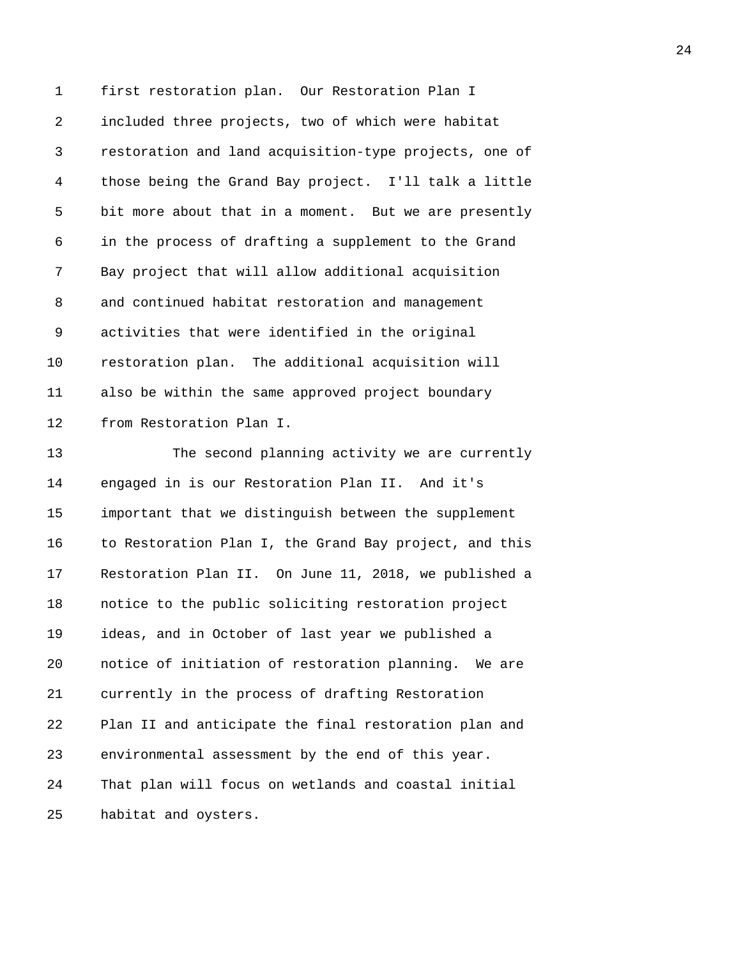1 first restoration plan. Our Restoration Plan I 2 included three projects, two of which were habitat 3 restoration and land acquisition-type projects, one of 4 those being the Grand Bay project. I'll talk a little 5 bit more about that in a moment. But we are presently 6 in the process of drafting a supplement to the Grand 7 Bay project that will allow additional acquisition 8 and continued habitat restoration and management 9 activities that were identified in the original 10 restoration plan. The additional acquisition will 11 also be within the same approved project boundary 12 from Restoration Plan I.

13 The second planning activity we are currently 14 engaged in is our Restoration Plan II. And it's 15 important that we distinguish between the supplement 16 to Restoration Plan I, the Grand Bay project, and this 17 Restoration Plan II. On June 11, 2018, we published a 18 notice to the public soliciting restoration project 19 ideas, and in October of last year we published a 20 notice of initiation of restoration planning. We are 21 currently in the process of drafting Restoration 22 Plan II and anticipate the final restoration plan and 23 environmental assessment by the end of this year. 24 That plan will focus on wetlands and coastal initial 25 habitat and oysters.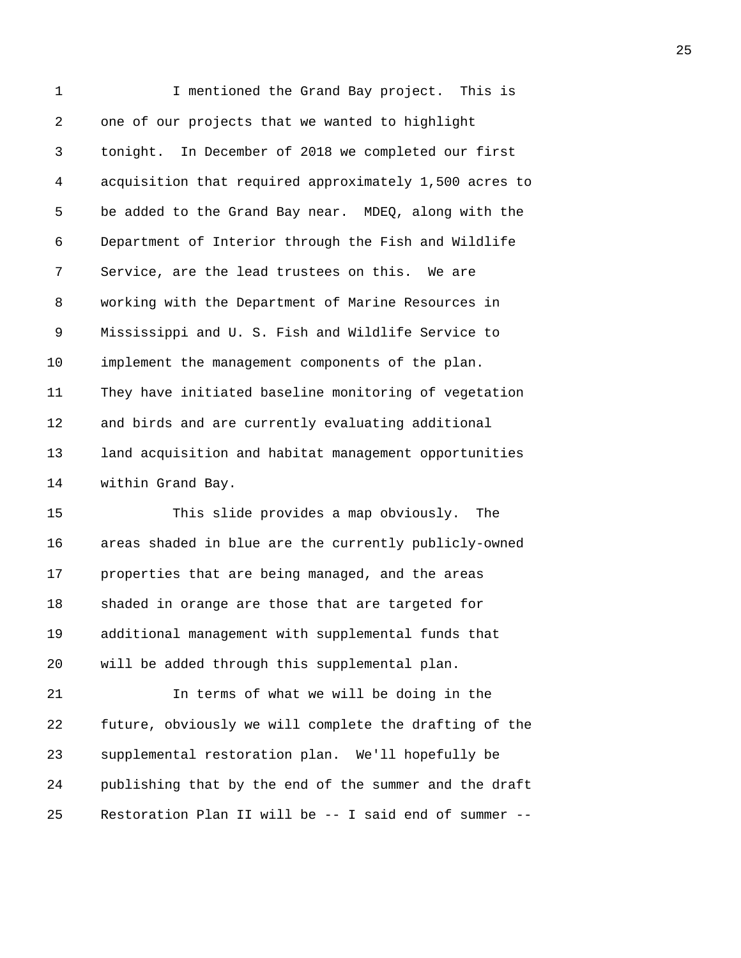| 1  | I mentioned the Grand Bay project. This is             |
|----|--------------------------------------------------------|
| 2  | one of our projects that we wanted to highlight        |
| 3  | tonight. In December of 2018 we completed our first    |
| 4  | acquisition that required approximately 1,500 acres to |
| 5  | be added to the Grand Bay near. MDEQ, along with the   |
| 6  | Department of Interior through the Fish and Wildlife   |
| 7  | Service, are the lead trustees on this. We are         |
| 8  | working with the Department of Marine Resources in     |
| 9  | Mississippi and U. S. Fish and Wildlife Service to     |
| 10 | implement the management components of the plan.       |
| 11 | They have initiated baseline monitoring of vegetation  |
| 12 | and birds and are currently evaluating additional      |
| 13 | land acquisition and habitat management opportunities  |
| 14 | within Grand Bay.                                      |
| 15 | This slide provides a map obviously.<br>The            |
| 16 | areas shaded in blue are the currently publicly-owned  |
| 17 | properties that are being managed, and the areas       |
| 18 | shaded in orange are those that are targeted for       |
| 19 | additional management with supplemental funds that     |
| 20 | will be added through this supplemental plan.          |
| 21 | In terms of what we will be doing in the               |
| 22 | future, obviously we will complete the drafting of the |
| 23 | supplemental restoration plan. We'll hopefully be      |
| 24 | publishing that by the end of the summer and the draft |
| 25 | Restoration Plan II will be -- I said end of summer    |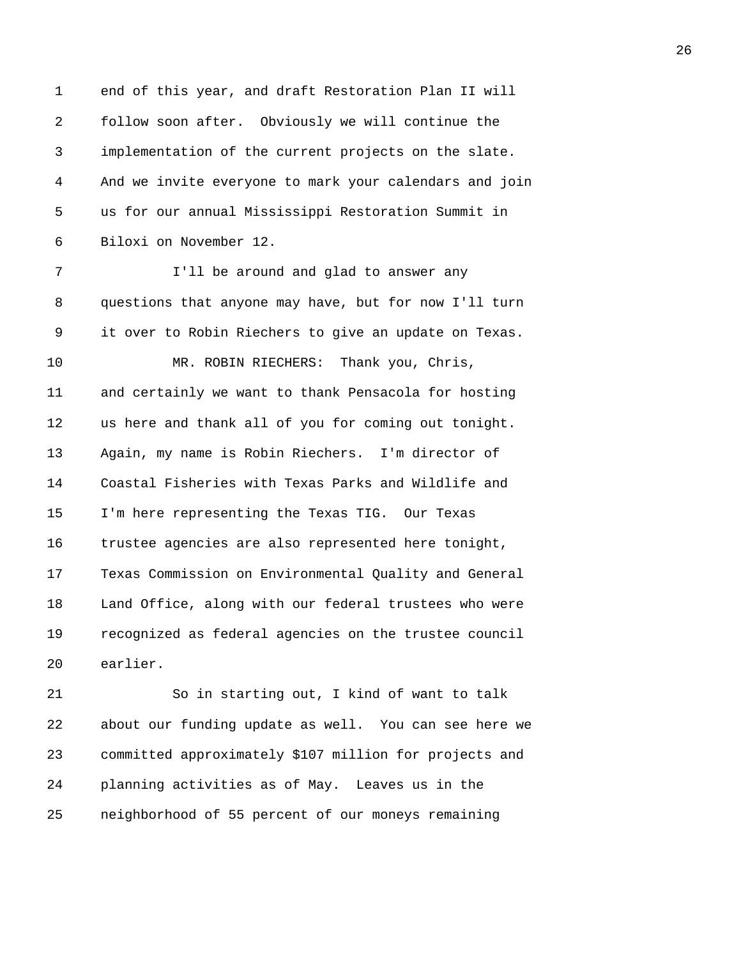1 end of this year, and draft Restoration Plan II will 2 follow soon after. Obviously we will continue the 3 implementation of the current projects on the slate. 4 And we invite everyone to mark your calendars and join 5 us for our annual Mississippi Restoration Summit in 6 Biloxi on November 12. 7 **I'll be around and glad to answer any** 8 questions that anyone may have, but for now I'll turn 9 it over to Robin Riechers to give an update on Texas. 10 MR. ROBIN RIECHERS: Thank you, Chris, 11 and certainly we want to thank Pensacola for hosting 12 us here and thank all of you for coming out tonight. 13 Again, my name is Robin Riechers. I'm director of 14 Coastal Fisheries with Texas Parks and Wildlife and 15 I'm here representing the Texas TIG. Our Texas 16 trustee agencies are also represented here tonight, 17 Texas Commission on Environmental Quality and General 18 Land Office, along with our federal trustees who were 19 recognized as federal agencies on the trustee council 20 earlier. 21 So in starting out, I kind of want to talk

22 about our funding update as well. You can see here we 23 committed approximately \$107 million for projects and 24 planning activities as of May. Leaves us in the 25 neighborhood of 55 percent of our moneys remaining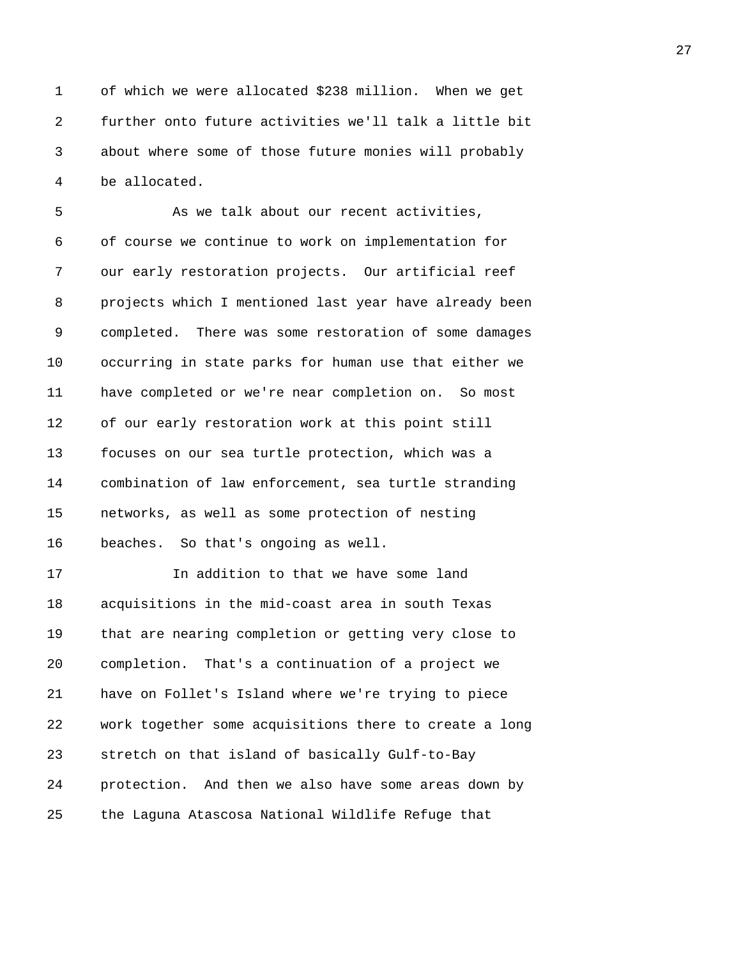1 of which we were allocated \$238 million. When we get 2 further onto future activities we'll talk a little bit 3 about where some of those future monies will probably 4 be allocated.

5 As we talk about our recent activities, 6 of course we continue to work on implementation for 7 our early restoration projects. Our artificial reef 8 projects which I mentioned last year have already been 9 completed. There was some restoration of some damages 10 occurring in state parks for human use that either we 11 have completed or we're near completion on. So most 12 of our early restoration work at this point still 13 focuses on our sea turtle protection, which was a 14 combination of law enforcement, sea turtle stranding 15 networks, as well as some protection of nesting 16 beaches. So that's ongoing as well. 17 In addition to that we have some land 18 acquisitions in the mid-coast area in south Texas 19 that are nearing completion or getting very close to 20 completion. That's a continuation of a project we 21 have on Follet's Island where we're trying to piece 22 work together some acquisitions there to create a long 23 stretch on that island of basically Gulf-to-Bay

24 protection. And then we also have some areas down by 25 the Laguna Atascosa National Wildlife Refuge that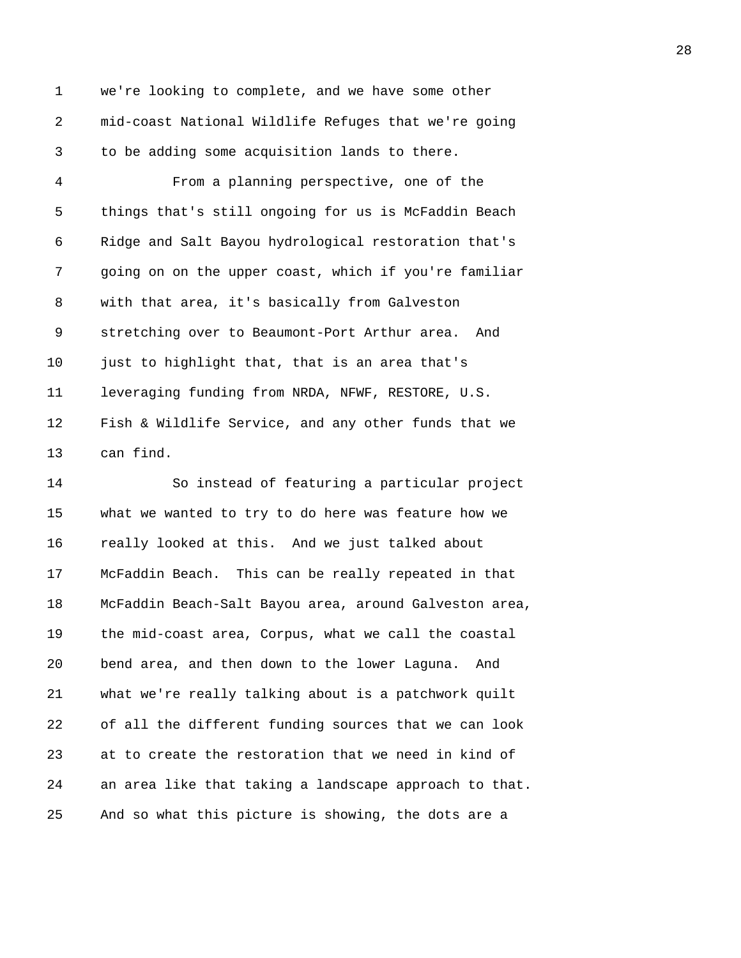1 we're looking to complete, and we have some other 2 mid-coast National Wildlife Refuges that we're going 3 to be adding some acquisition lands to there.

4 From a planning perspective, one of the 5 things that's still ongoing for us is McFaddin Beach 6 Ridge and Salt Bayou hydrological restoration that's 7 going on on the upper coast, which if you're familiar 8 with that area, it's basically from Galveston 9 stretching over to Beaumont-Port Arthur area. And 10 just to highlight that, that is an area that's 11 leveraging funding from NRDA, NFWF, RESTORE, U.S. 12 Fish & Wildlife Service, and any other funds that we 13 can find.

14 So instead of featuring a particular project 15 what we wanted to try to do here was feature how we 16 really looked at this. And we just talked about 17 McFaddin Beach. This can be really repeated in that 18 McFaddin Beach-Salt Bayou area, around Galveston area, 19 the mid-coast area, Corpus, what we call the coastal 20 bend area, and then down to the lower Laguna. And 21 what we're really talking about is a patchwork quilt 22 of all the different funding sources that we can look 23 at to create the restoration that we need in kind of 24 an area like that taking a landscape approach to that. 25 And so what this picture is showing, the dots are a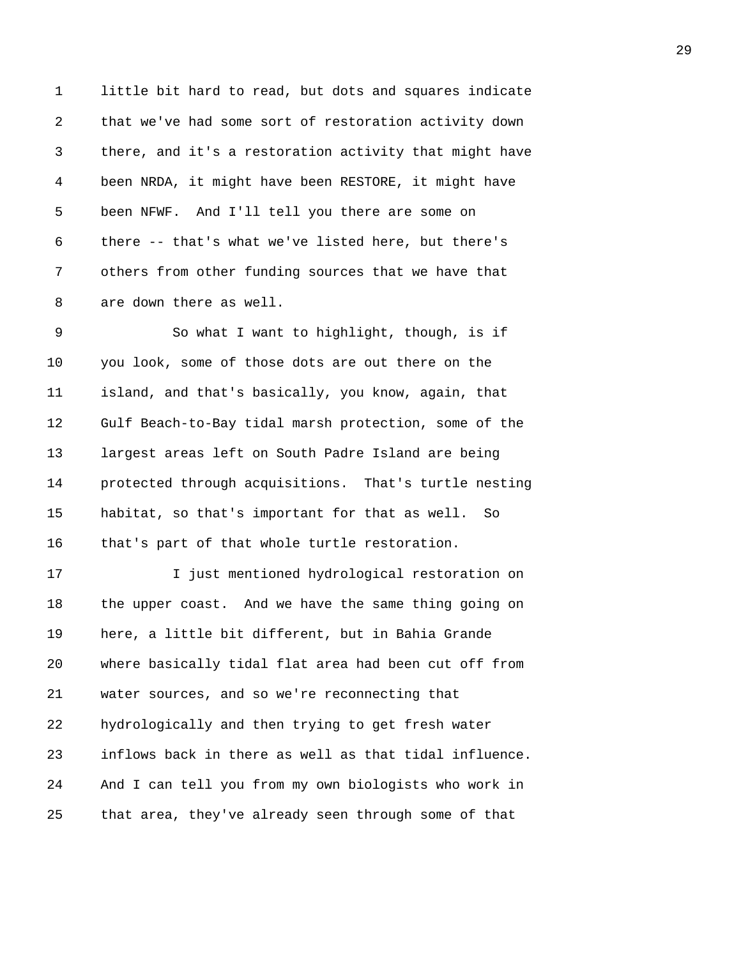1 little bit hard to read, but dots and squares indicate 2 that we've had some sort of restoration activity down 3 there, and it's a restoration activity that might have 4 been NRDA, it might have been RESTORE, it might have 5 been NFWF. And I'll tell you there are some on 6 there -- that's what we've listed here, but there's 7 others from other funding sources that we have that 8 are down there as well.

9 So what I want to highlight, though, is if 10 you look, some of those dots are out there on the 11 island, and that's basically, you know, again, that 12 Gulf Beach-to-Bay tidal marsh protection, some of the 13 largest areas left on South Padre Island are being 14 protected through acquisitions. That's turtle nesting 15 habitat, so that's important for that as well. So 16 that's part of that whole turtle restoration.

17 I just mentioned hydrological restoration on 18 the upper coast. And we have the same thing going on 19 here, a little bit different, but in Bahia Grande 20 where basically tidal flat area had been cut off from 21 water sources, and so we're reconnecting that 22 hydrologically and then trying to get fresh water 23 inflows back in there as well as that tidal influence. 24 And I can tell you from my own biologists who work in 25 that area, they've already seen through some of that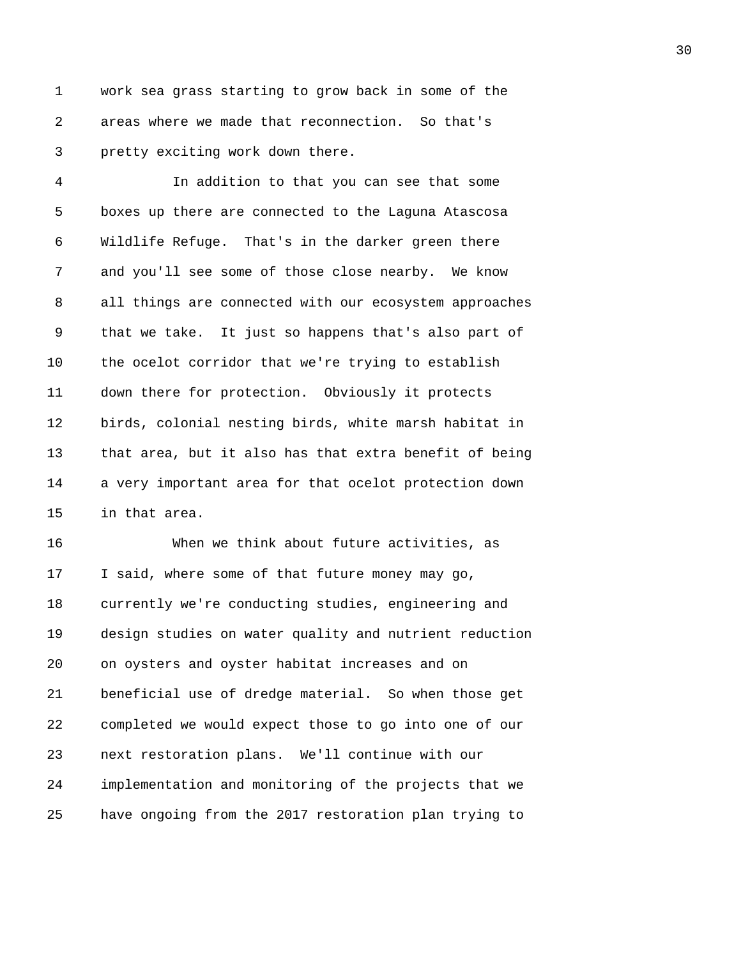1 work sea grass starting to grow back in some of the 2 areas where we made that reconnection. So that's 3 pretty exciting work down there.

4 In addition to that you can see that some 5 boxes up there are connected to the Laguna Atascosa 6 Wildlife Refuge. That's in the darker green there 7 and you'll see some of those close nearby. We know 8 all things are connected with our ecosystem approaches 9 that we take. It just so happens that's also part of 10 the ocelot corridor that we're trying to establish 11 down there for protection. Obviously it protects 12 birds, colonial nesting birds, white marsh habitat in 13 that area, but it also has that extra benefit of being 14 a very important area for that ocelot protection down 15 in that area.

16 When we think about future activities, as 17 I said, where some of that future money may go, 18 currently we're conducting studies, engineering and 19 design studies on water quality and nutrient reduction 20 on oysters and oyster habitat increases and on 21 beneficial use of dredge material. So when those get 22 completed we would expect those to go into one of our 23 next restoration plans. We'll continue with our 24 implementation and monitoring of the projects that we 25 have ongoing from the 2017 restoration plan trying to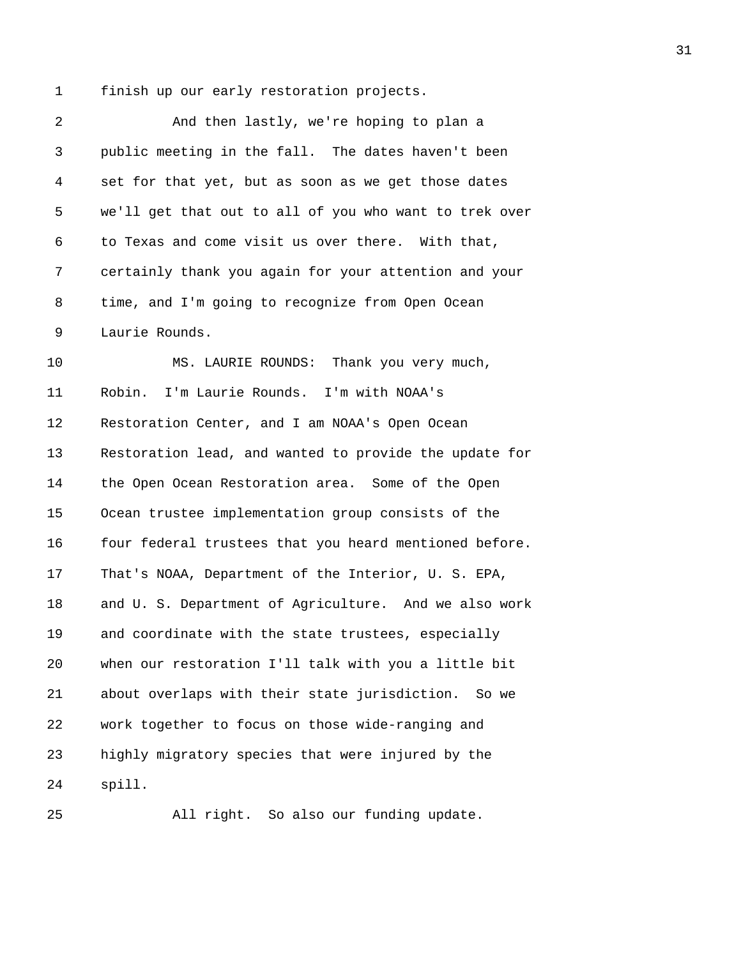1 finish up our early restoration projects.

| And then lastly, we're hoping to plan a                |
|--------------------------------------------------------|
| public meeting in the fall. The dates haven't been     |
| set for that yet, but as soon as we get those dates    |
| we'll get that out to all of you who want to trek over |
| to Texas and come visit us over there. With that,      |
| certainly thank you again for your attention and your  |
| time, and I'm going to recognize from Open Ocean       |
| Laurie Rounds.                                         |
| MS. LAURIE ROUNDS: Thank you very much,                |
| Robin. I'm Laurie Rounds. I'm with NOAA's              |
| Restoration Center, and I am NOAA's Open Ocean         |
| Restoration lead, and wanted to provide the update for |
| the Open Ocean Restoration area. Some of the Open      |
| Ocean trustee implementation group consists of the     |
| four federal trustees that you heard mentioned before. |
| That's NOAA, Department of the Interior, U. S. EPA,    |
| and U. S. Department of Agriculture. And we also work  |
| and coordinate with the state trustees, especially     |
| when our restoration I'll talk with you a little bit   |
| about overlaps with their state jurisdiction.<br>So we |
| work together to focus on those wide-ranging and       |
| highly migratory species that were injured by the      |
| spill.                                                 |
|                                                        |

25 All right. So also our funding update.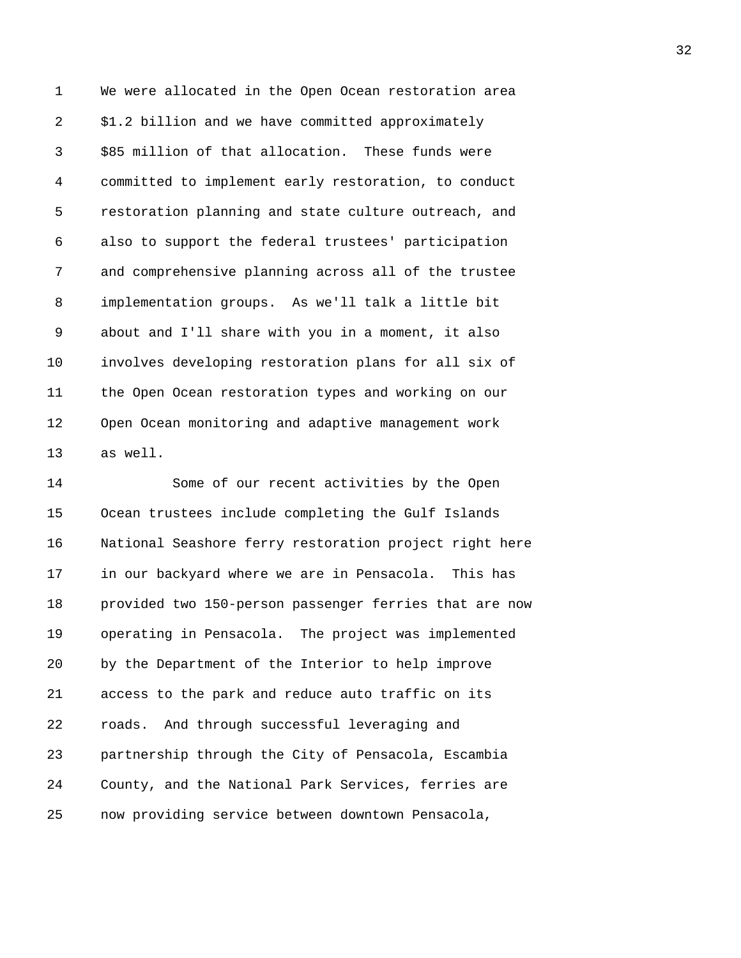1 We were allocated in the Open Ocean restoration area 2 \$1.2 billion and we have committed approximately 3 \$85 million of that allocation. These funds were 4 committed to implement early restoration, to conduct 5 restoration planning and state culture outreach, and 6 also to support the federal trustees' participation 7 and comprehensive planning across all of the trustee 8 implementation groups. As we'll talk a little bit 9 about and I'll share with you in a moment, it also 10 involves developing restoration plans for all six of 11 the Open Ocean restoration types and working on our 12 Open Ocean monitoring and adaptive management work 13 as well.

14 Some of our recent activities by the Open 15 Ocean trustees include completing the Gulf Islands 16 National Seashore ferry restoration project right here 17 in our backyard where we are in Pensacola. This has 18 provided two 150-person passenger ferries that are now 19 operating in Pensacola. The project was implemented 20 by the Department of the Interior to help improve 21 access to the park and reduce auto traffic on its 22 roads. And through successful leveraging and 23 partnership through the City of Pensacola, Escambia 24 County, and the National Park Services, ferries are 25 now providing service between downtown Pensacola,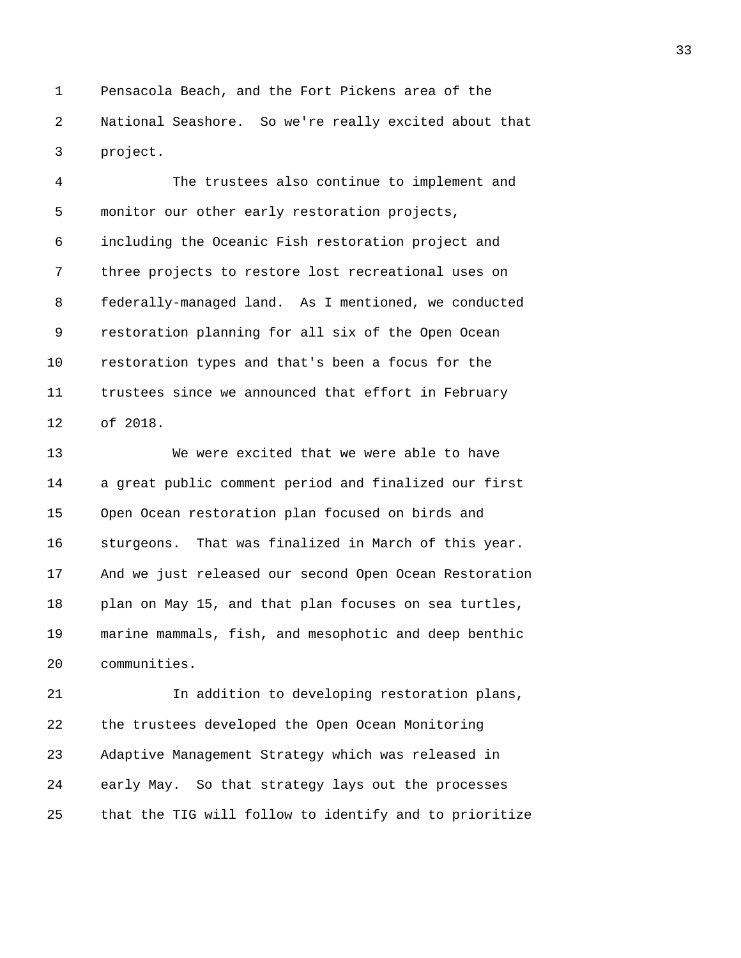1 Pensacola Beach, and the Fort Pickens area of the 2 National Seashore. So we're really excited about that 3 project.

4 The trustees also continue to implement and 5 monitor our other early restoration projects, 6 including the Oceanic Fish restoration project and 7 three projects to restore lost recreational uses on 8 federally-managed land. As I mentioned, we conducted 9 restoration planning for all six of the Open Ocean 10 restoration types and that's been a focus for the 11 trustees since we announced that effort in February 12 of 2018.

13 We were excited that we were able to have 14 a great public comment period and finalized our first 15 Open Ocean restoration plan focused on birds and 16 sturgeons. That was finalized in March of this year. 17 And we just released our second Open Ocean Restoration 18 plan on May 15, and that plan focuses on sea turtles, 19 marine mammals, fish, and mesophotic and deep benthic 20 communities.

21 In addition to developing restoration plans, 22 the trustees developed the Open Ocean Monitoring 23 Adaptive Management Strategy which was released in 24 early May. So that strategy lays out the processes 25 that the TIG will follow to identify and to prioritize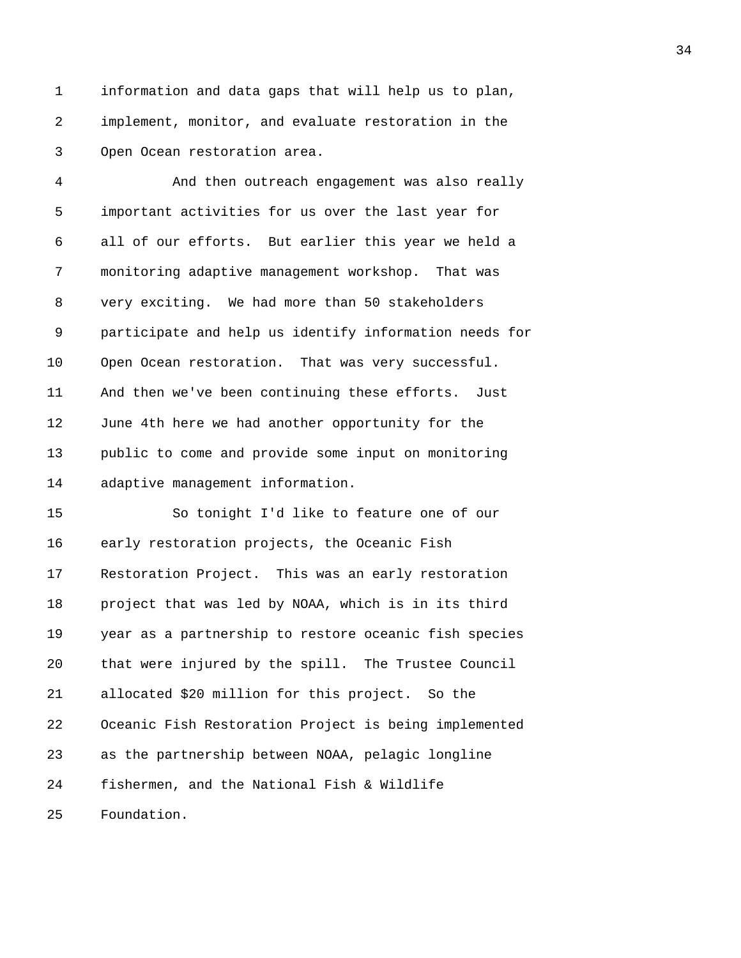1 information and data gaps that will help us to plan, 2 implement, monitor, and evaluate restoration in the 3 Open Ocean restoration area.

4 And then outreach engagement was also really 5 important activities for us over the last year for 6 all of our efforts. But earlier this year we held a 7 monitoring adaptive management workshop. That was 8 very exciting. We had more than 50 stakeholders 9 participate and help us identify information needs for 10 Open Ocean restoration. That was very successful. 11 And then we've been continuing these efforts. Just 12 June 4th here we had another opportunity for the 13 public to come and provide some input on monitoring 14 adaptive management information.

15 So tonight I'd like to feature one of our 16 early restoration projects, the Oceanic Fish 17 Restoration Project. This was an early restoration 18 project that was led by NOAA, which is in its third 19 year as a partnership to restore oceanic fish species 20 that were injured by the spill. The Trustee Council 21 allocated \$20 million for this project. So the 22 Oceanic Fish Restoration Project is being implemented 23 as the partnership between NOAA, pelagic longline 24 fishermen, and the National Fish & Wildlife 25 Foundation.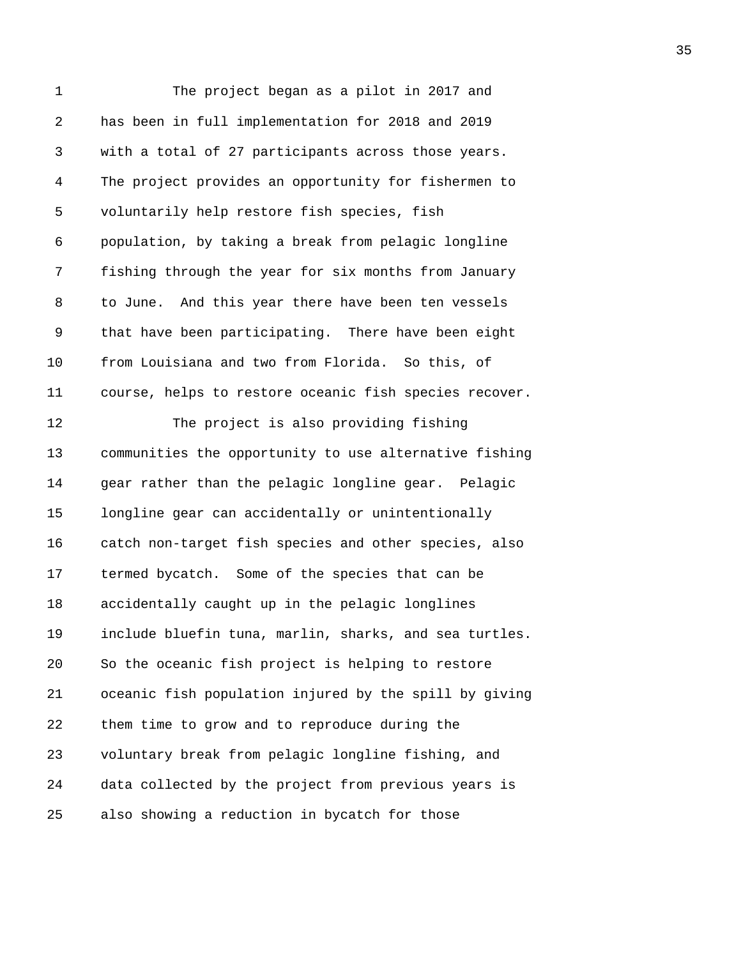| 1  | The project began as a pilot in 2017 and               |
|----|--------------------------------------------------------|
| 2  | has been in full implementation for 2018 and 2019      |
| 3  | with a total of 27 participants across those years.    |
| 4  | The project provides an opportunity for fishermen to   |
| 5  | voluntarily help restore fish species, fish            |
| 6  | population, by taking a break from pelagic longline    |
| 7  | fishing through the year for six months from January   |
| 8  | to June. And this year there have been ten vessels     |
| 9  | that have been participating. There have been eight    |
| 10 | from Louisiana and two from Florida. So this, of       |
| 11 | course, helps to restore oceanic fish species recover. |
| 12 | The project is also providing fishing                  |
| 13 | communities the opportunity to use alternative fishing |
| 14 | gear rather than the pelagic longline gear. Pelagic    |
| 15 | longline gear can accidentally or unintentionally      |
| 16 | catch non-target fish species and other species, also  |
| 17 | termed bycatch. Some of the species that can be        |
| 18 | accidentally caught up in the pelagic longlines        |
| 19 | include bluefin tuna, marlin, sharks, and sea turtles. |
| 20 | So the oceanic fish project is helping to restore      |
| 21 | oceanic fish population injured by the spill by giving |
| 22 | them time to grow and to reproduce during the          |
| 23 | voluntary break from pelagic longline fishing, and     |
| 24 | data collected by the project from previous years is   |
| 25 | also showing a reduction in bycatch for those          |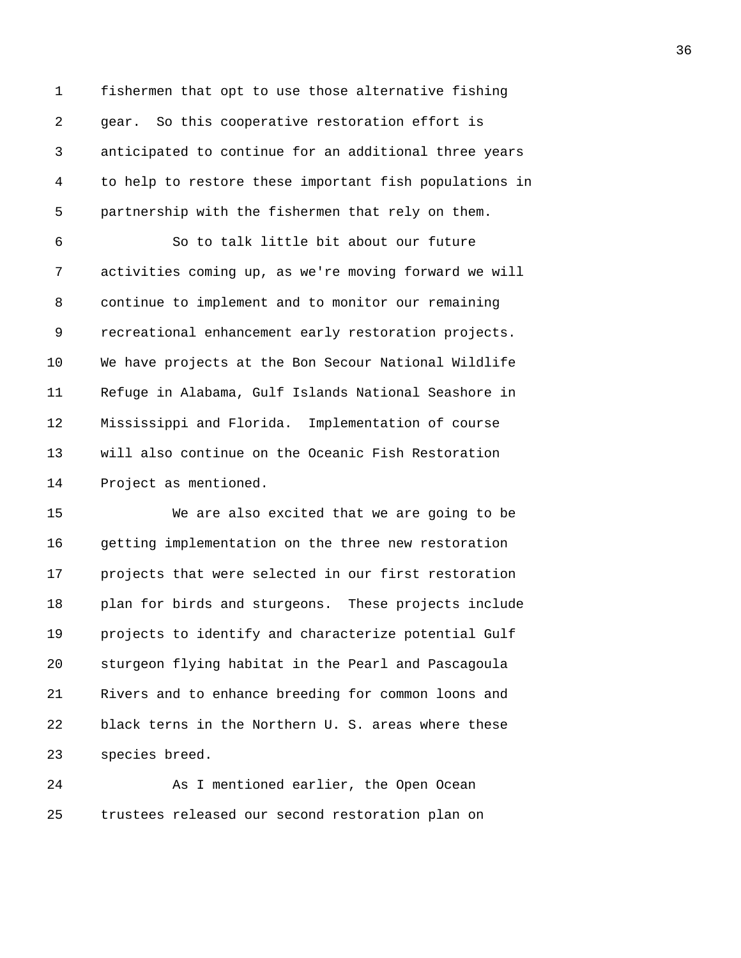1 fishermen that opt to use those alternative fishing 2 gear. So this cooperative restoration effort is 3 anticipated to continue for an additional three years 4 to help to restore these important fish populations in 5 partnership with the fishermen that rely on them.

6 So to talk little bit about our future 7 activities coming up, as we're moving forward we will 8 continue to implement and to monitor our remaining 9 recreational enhancement early restoration projects. 10 We have projects at the Bon Secour National Wildlife 11 Refuge in Alabama, Gulf Islands National Seashore in 12 Mississippi and Florida. Implementation of course 13 will also continue on the Oceanic Fish Restoration 14 Project as mentioned.

15 We are also excited that we are going to be 16 getting implementation on the three new restoration 17 projects that were selected in our first restoration 18 plan for birds and sturgeons. These projects include 19 projects to identify and characterize potential Gulf 20 sturgeon flying habitat in the Pearl and Pascagoula 21 Rivers and to enhance breeding for common loons and 22 black terns in the Northern U. S. areas where these 23 species breed.

24 As I mentioned earlier, the Open Ocean 25 trustees released our second restoration plan on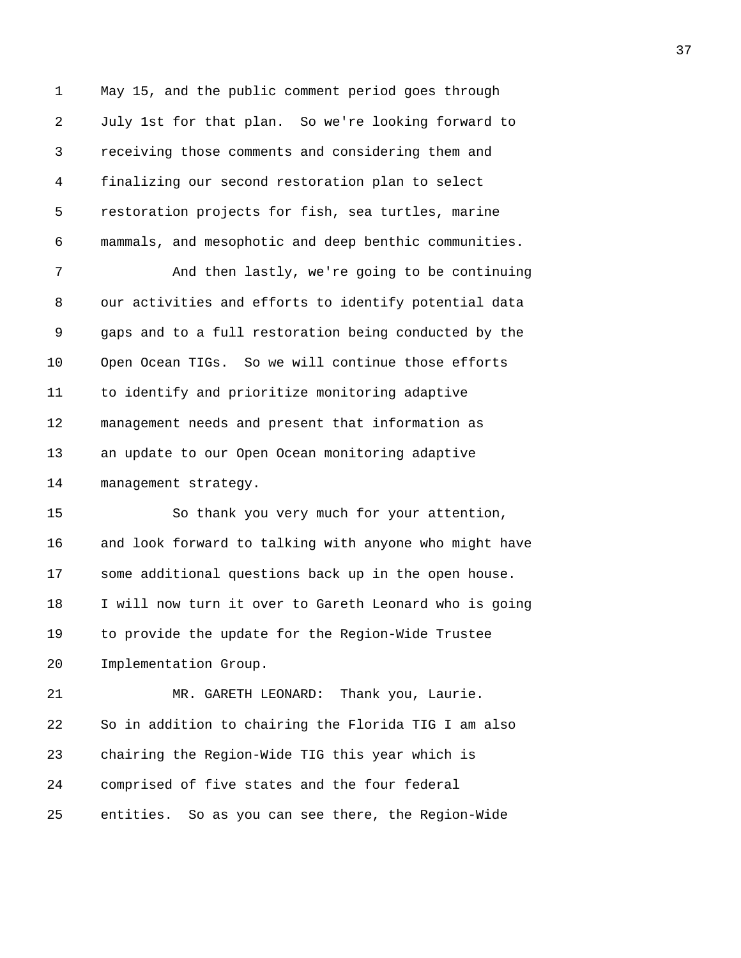1 May 15, and the public comment period goes through 2 July 1st for that plan. So we're looking forward to 3 receiving those comments and considering them and 4 finalizing our second restoration plan to select 5 restoration projects for fish, sea turtles, marine 6 mammals, and mesophotic and deep benthic communities.

7 And then lastly, we're going to be continuing 8 our activities and efforts to identify potential data 9 gaps and to a full restoration being conducted by the 10 Open Ocean TIGs. So we will continue those efforts 11 to identify and prioritize monitoring adaptive 12 management needs and present that information as 13 an update to our Open Ocean monitoring adaptive 14 management strategy.

15 So thank you very much for your attention, 16 and look forward to talking with anyone who might have 17 some additional questions back up in the open house. 18 I will now turn it over to Gareth Leonard who is going 19 to provide the update for the Region-Wide Trustee 20 Implementation Group.

21 MR. GARETH LEONARD: Thank you, Laurie. 22 So in addition to chairing the Florida TIG I am also 23 chairing the Region-Wide TIG this year which is 24 comprised of five states and the four federal 25 entities. So as you can see there, the Region-Wide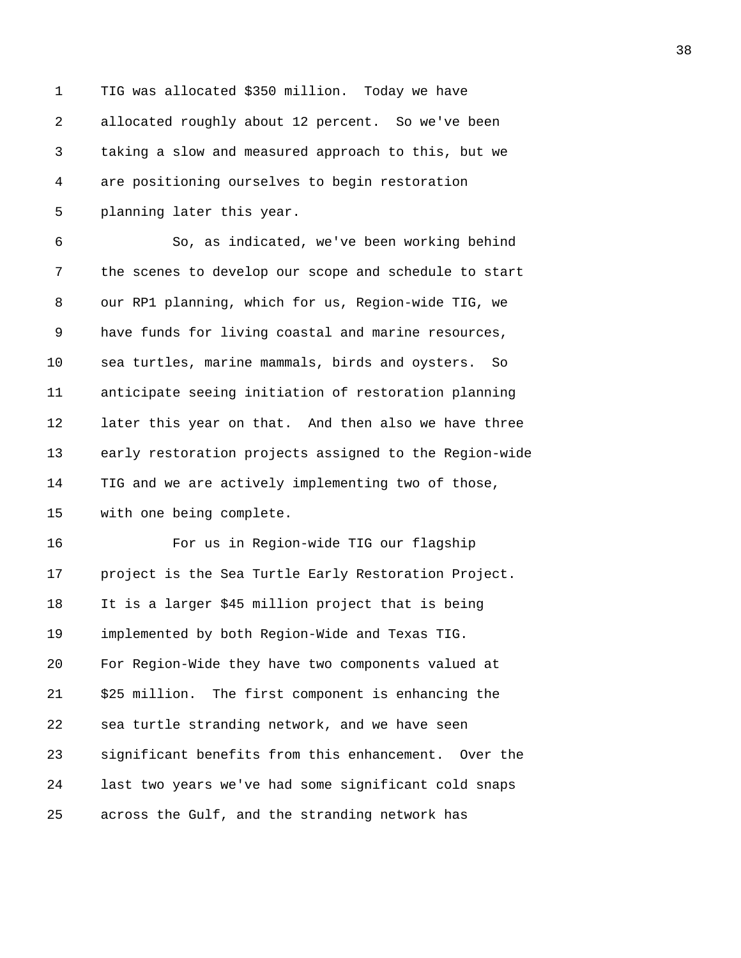1 TIG was allocated \$350 million. Today we have 2 allocated roughly about 12 percent. So we've been 3 taking a slow and measured approach to this, but we 4 are positioning ourselves to begin restoration 5 planning later this year. 6 So, as indicated, we've been working behind 7 the scenes to develop our scope and schedule to start 8 our RP1 planning, which for us, Region-wide TIG, we 9 have funds for living coastal and marine resources, 10 sea turtles, marine mammals, birds and oysters. So 11 anticipate seeing initiation of restoration planning 12 later this year on that. And then also we have three 13 early restoration projects assigned to the Region-wide 14 TIG and we are actively implementing two of those, 15 with one being complete. 16 For us in Region-wide TIG our flagship 17 project is the Sea Turtle Early Restoration Project. 18 It is a larger \$45 million project that is being 19 implemented by both Region-Wide and Texas TIG. 20 For Region-Wide they have two components valued at 21 \$25 million. The first component is enhancing the 22 sea turtle stranding network, and we have seen 23 significant benefits from this enhancement. Over the 24 last two years we've had some significant cold snaps 25 across the Gulf, and the stranding network has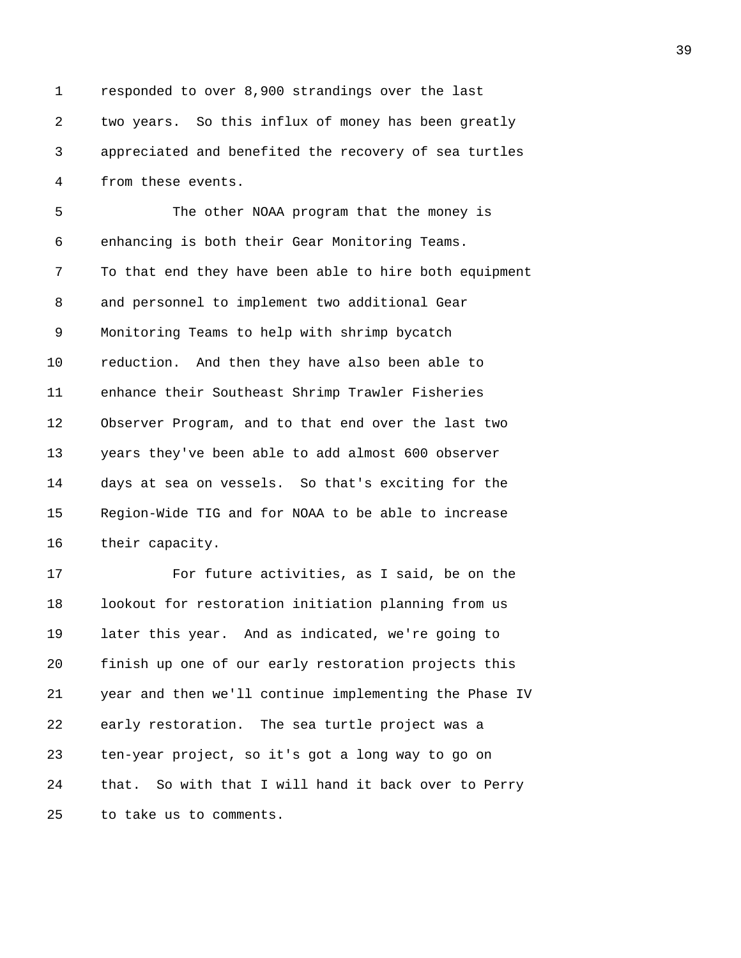1 responded to over 8,900 strandings over the last 2 two years. So this influx of money has been greatly 3 appreciated and benefited the recovery of sea turtles 4 from these events.

5 The other NOAA program that the money is 6 enhancing is both their Gear Monitoring Teams. 7 To that end they have been able to hire both equipment 8 and personnel to implement two additional Gear 9 Monitoring Teams to help with shrimp bycatch 10 reduction. And then they have also been able to 11 enhance their Southeast Shrimp Trawler Fisheries 12 Observer Program, and to that end over the last two 13 years they've been able to add almost 600 observer 14 days at sea on vessels. So that's exciting for the 15 Region-Wide TIG and for NOAA to be able to increase 16 their capacity.

17 For future activities, as I said, be on the 18 lookout for restoration initiation planning from us 19 later this year. And as indicated, we're going to 20 finish up one of our early restoration projects this 21 year and then we'll continue implementing the Phase IV 22 early restoration. The sea turtle project was a 23 ten-year project, so it's got a long way to go on 24 that. So with that I will hand it back over to Perry 25 to take us to comments.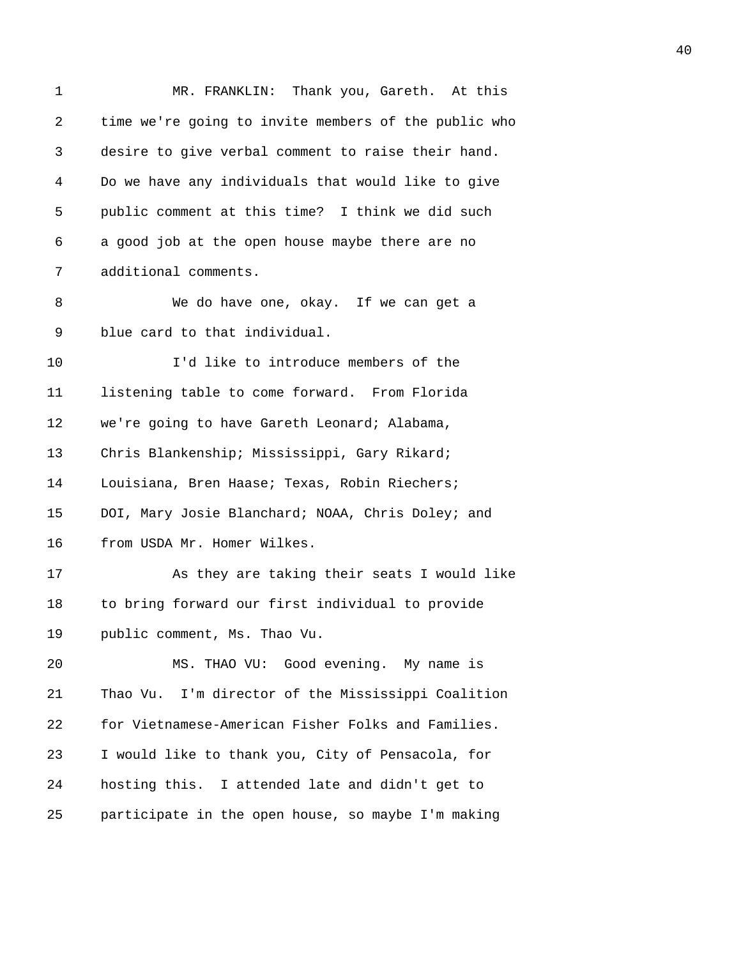| 1  | MR. FRANKLIN: Thank you, Gareth. At this             |
|----|------------------------------------------------------|
| 2  | time we're going to invite members of the public who |
| 3  | desire to give verbal comment to raise their hand.   |
| 4  | Do we have any individuals that would like to give   |
| 5  | public comment at this time? I think we did such     |
| 6  | a good job at the open house maybe there are no      |
| 7  | additional comments.                                 |
| 8  | We do have one, okay. If we can get a                |
| 9  | blue card to that individual.                        |
| 10 | I'd like to introduce members of the                 |
| 11 | listening table to come forward. From Florida        |
| 12 | we're going to have Gareth Leonard; Alabama,         |
| 13 | Chris Blankenship; Mississippi, Gary Rikard;         |
| 14 | Louisiana, Bren Haase; Texas, Robin Riechers;        |
| 15 | DOI, Mary Josie Blanchard; NOAA, Chris Doley; and    |
| 16 | from USDA Mr. Homer Wilkes.                          |
| 17 | As they are taking their seats I would like          |
| 18 | to bring forward our first individual to provide     |
| 19 | public comment, Ms. Thao Vu.                         |
| 20 | MS. THAO VU: Good evening. My name is                |
| 21 | Thao Vu. I'm director of the Mississippi Coalition   |
| 22 | for Vietnamese-American Fisher Folks and Families.   |
| 23 | I would like to thank you, City of Pensacola, for    |
| 24 | hosting this. I attended late and didn't get to      |
| 25 | participate in the open house, so maybe I'm making   |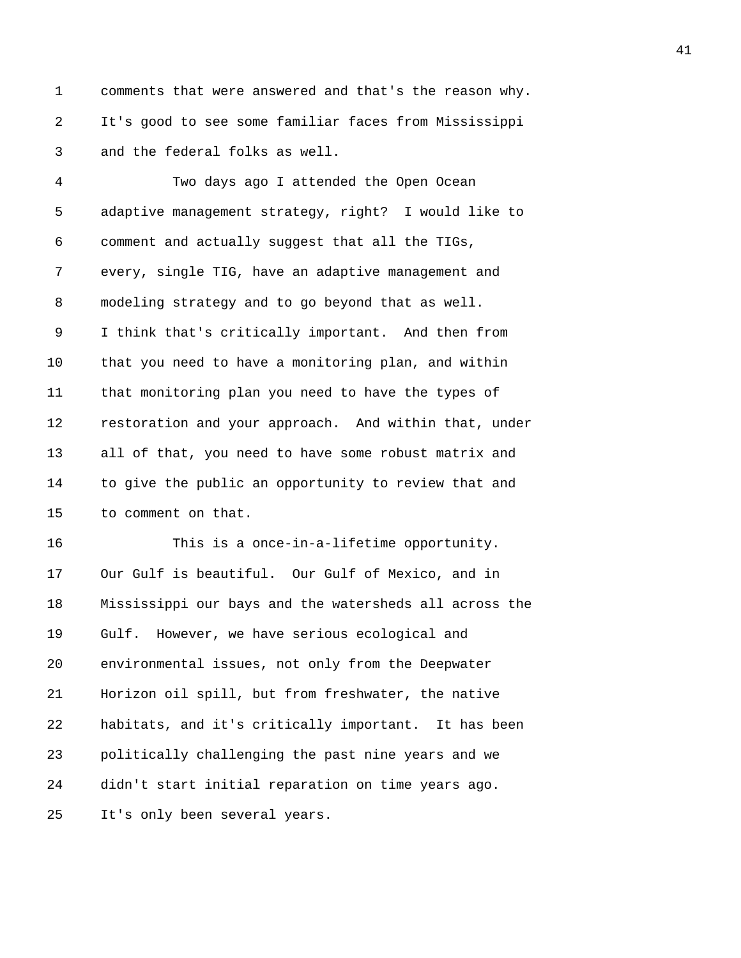1 comments that were answered and that's the reason why. 2 It's good to see some familiar faces from Mississippi 3 and the federal folks as well.

4 Two days ago I attended the Open Ocean 5 adaptive management strategy, right? I would like to 6 comment and actually suggest that all the TIGs, 7 every, single TIG, have an adaptive management and 8 modeling strategy and to go beyond that as well. 9 I think that's critically important. And then from 10 that you need to have a monitoring plan, and within 11 that monitoring plan you need to have the types of 12 restoration and your approach. And within that, under 13 all of that, you need to have some robust matrix and 14 to give the public an opportunity to review that and 15 to comment on that.

16 This is a once-in-a-lifetime opportunity. 17 Our Gulf is beautiful. Our Gulf of Mexico, and in 18 Mississippi our bays and the watersheds all across the 19 Gulf. However, we have serious ecological and 20 environmental issues, not only from the Deepwater 21 Horizon oil spill, but from freshwater, the native 22 habitats, and it's critically important. It has been 23 politically challenging the past nine years and we 24 didn't start initial reparation on time years ago. 25 It's only been several years.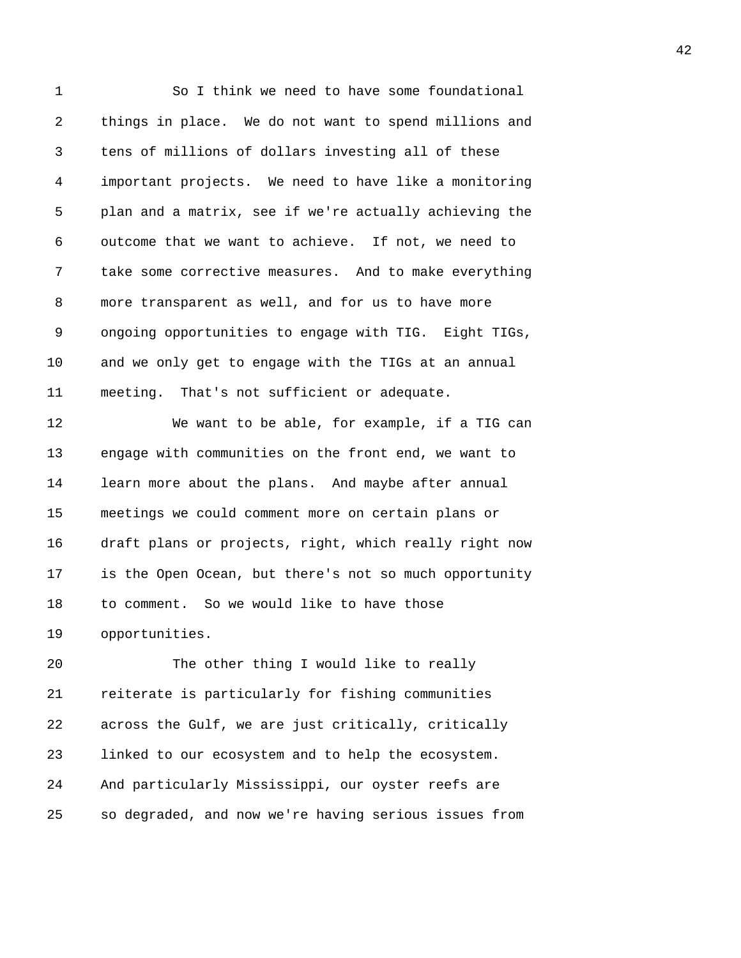1 So I think we need to have some foundational 2 things in place. We do not want to spend millions and 3 tens of millions of dollars investing all of these 4 important projects. We need to have like a monitoring 5 plan and a matrix, see if we're actually achieving the 6 outcome that we want to achieve. If not, we need to 7 take some corrective measures. And to make everything 8 more transparent as well, and for us to have more 9 ongoing opportunities to engage with TIG. Eight TIGs, 10 and we only get to engage with the TIGs at an annual 11 meeting. That's not sufficient or adequate. 12 We want to be able, for example, if a TIG can 13 engage with communities on the front end, we want to 14 learn more about the plans. And maybe after annual 15 meetings we could comment more on certain plans or 16 draft plans or projects, right, which really right now 17 is the Open Ocean, but there's not so much opportunity 18 to comment. So we would like to have those 19 opportunities. 20 The other thing I would like to really 21 reiterate is particularly for fishing communities

22 across the Gulf, we are just critically, critically 23 linked to our ecosystem and to help the ecosystem. 24 And particularly Mississippi, our oyster reefs are 25 so degraded, and now we're having serious issues from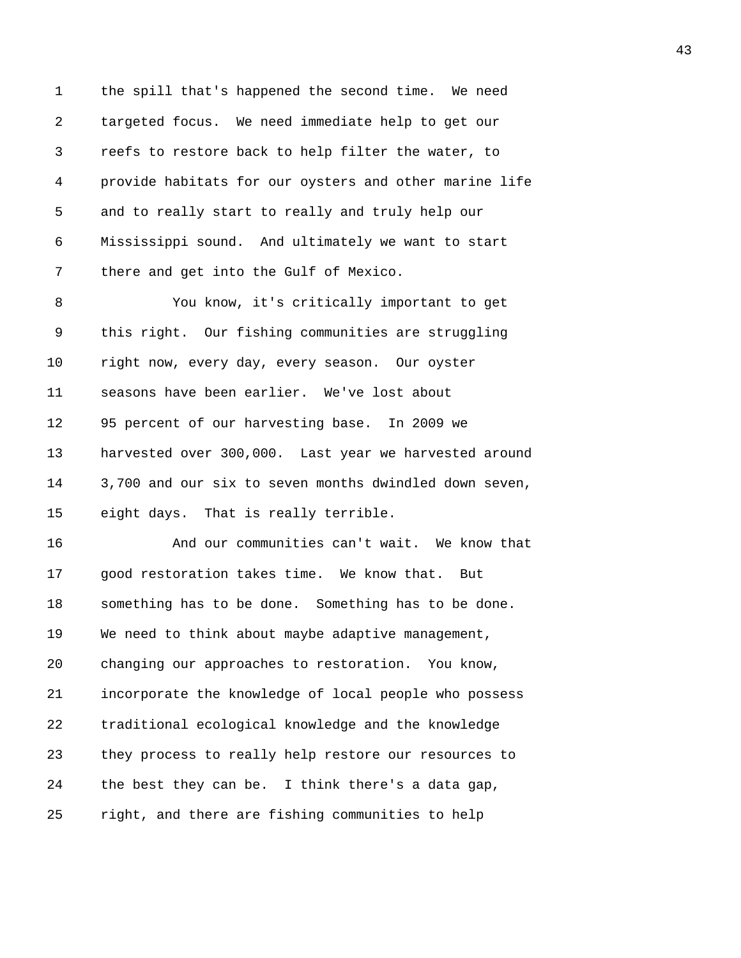1 the spill that's happened the second time. We need 2 targeted focus. We need immediate help to get our 3 reefs to restore back to help filter the water, to 4 provide habitats for our oysters and other marine life 5 and to really start to really and truly help our 6 Mississippi sound. And ultimately we want to start 7 there and get into the Gulf of Mexico.

8 You know, it's critically important to get 9 this right. Our fishing communities are struggling 10 right now, every day, every season. Our oyster 11 seasons have been earlier. We've lost about 12 95 percent of our harvesting base. In 2009 we 13 harvested over 300,000. Last year we harvested around 14 3,700 and our six to seven months dwindled down seven, 15 eight days. That is really terrible.

16 And our communities can't wait. We know that 17 good restoration takes time. We know that. But 18 something has to be done. Something has to be done. 19 We need to think about maybe adaptive management, 20 changing our approaches to restoration. You know, 21 incorporate the knowledge of local people who possess 22 traditional ecological knowledge and the knowledge 23 they process to really help restore our resources to 24 the best they can be. I think there's a data gap, 25 right, and there are fishing communities to help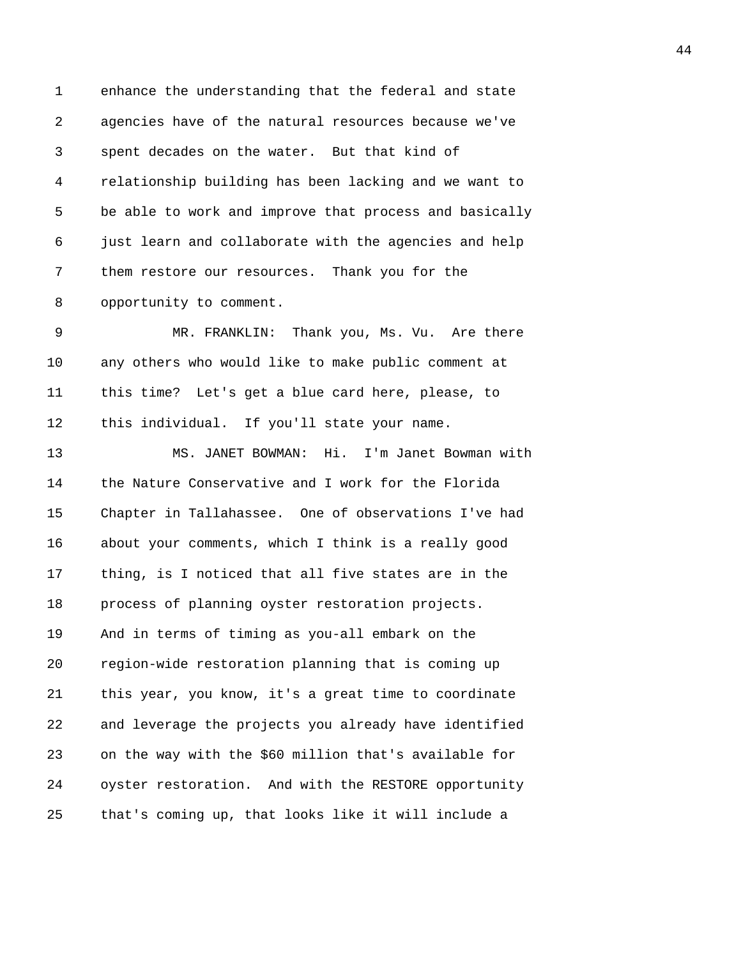1 enhance the understanding that the federal and state 2 agencies have of the natural resources because we've 3 spent decades on the water. But that kind of 4 relationship building has been lacking and we want to 5 be able to work and improve that process and basically 6 just learn and collaborate with the agencies and help 7 them restore our resources. Thank you for the 8 opportunity to comment. 9 MR. FRANKLIN: Thank you, Ms. Vu. Are there 10 any others who would like to make public comment at 11 this time? Let's get a blue card here, please, to 12 this individual. If you'll state your name. 13 MS. JANET BOWMAN: Hi. I'm Janet Bowman with 14 the Nature Conservative and I work for the Florida 15 Chapter in Tallahassee. One of observations I've had

16 about your comments, which I think is a really good 17 thing, is I noticed that all five states are in the 18 process of planning oyster restoration projects. 19 And in terms of timing as you-all embark on the 20 region-wide restoration planning that is coming up 21 this year, you know, it's a great time to coordinate 22 and leverage the projects you already have identified 23 on the way with the \$60 million that's available for 24 oyster restoration. And with the RESTORE opportunity 25 that's coming up, that looks like it will include a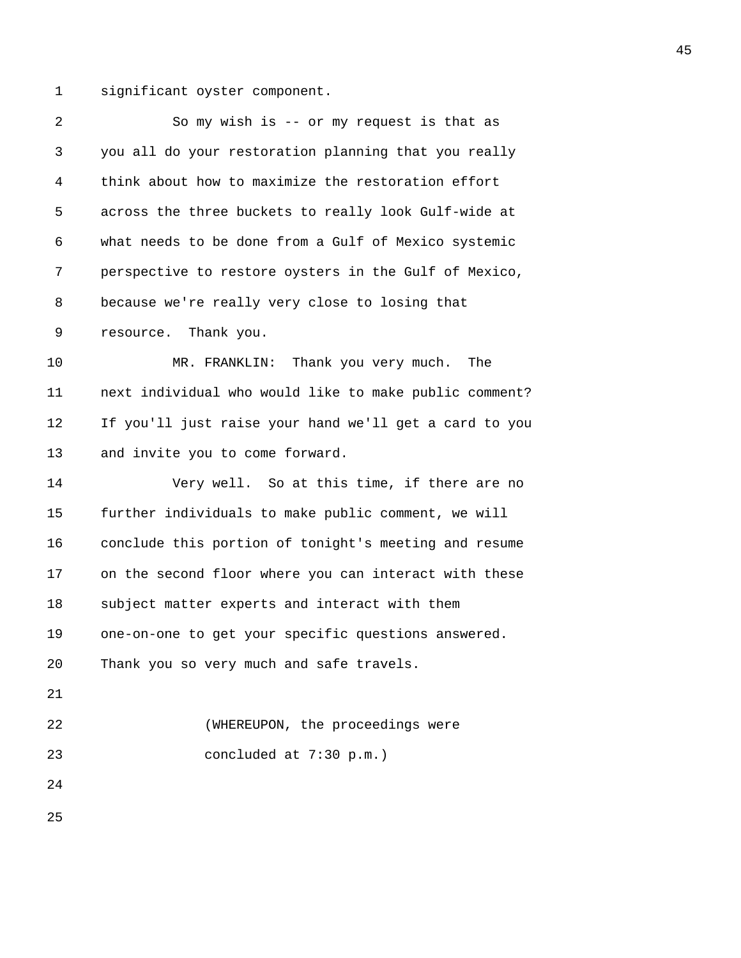1 significant oyster component.

| $\overline{2}$ | So my wish is $-$ or my request is that as             |
|----------------|--------------------------------------------------------|
| 3              | you all do your restoration planning that you really   |
| 4              | think about how to maximize the restoration effort     |
| 5              | across the three buckets to really look Gulf-wide at   |
| 6              | what needs to be done from a Gulf of Mexico systemic   |
| 7              | perspective to restore oysters in the Gulf of Mexico,  |
| 8              | because we're really very close to losing that         |
| 9              | resource. Thank you.                                   |
| 10             | MR. FRANKLIN: Thank you very much.<br>The              |
| 11             | next individual who would like to make public comment? |
| 12             | If you'll just raise your hand we'll get a card to you |
| 13             | and invite you to come forward.                        |
| 14             | Very well. So at this time, if there are no            |
| 15             | further individuals to make public comment, we will    |
| 16             | conclude this portion of tonight's meeting and resume  |
| 17             | on the second floor where you can interact with these  |
| 18             | subject matter experts and interact with them          |
| 19             | one-on-one to get your specific questions answered.    |
| 20             | Thank you so very much and safe travels.               |
| 21             |                                                        |
| 22             | (WHEREUPON, the proceedings were                       |
| 23             | concluded at 7:30 p.m.)                                |
| 24             |                                                        |
| 25             |                                                        |